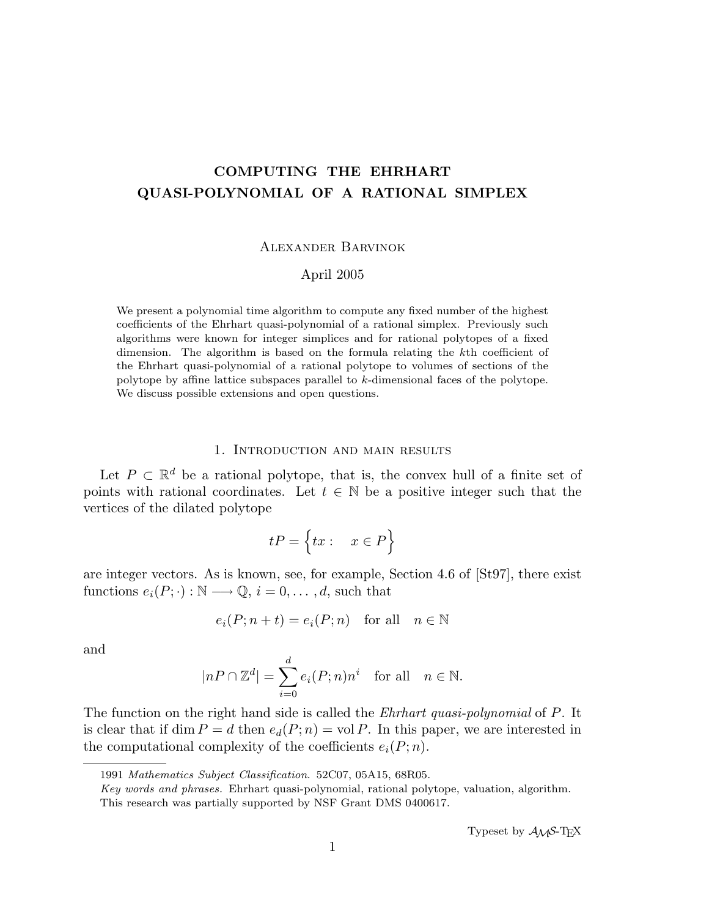# COMPUTING THE EHRHART QUASI-POLYNOMIAL OF A RATIONAL SIMPLEX

#### Alexander Barvinok

#### April 2005

We present a polynomial time algorithm to compute any fixed number of the highest coefficients of the Ehrhart quasi-polynomial of a rational simplex. Previously such algorithms were known for integer simplices and for rational polytopes of a fixed dimension. The algorithm is based on the formula relating the kth coefficient of the Ehrhart quasi-polynomial of a rational polytope to volumes of sections of the polytope by affine lattice subspaces parallel to k-dimensional faces of the polytope. We discuss possible extensions and open questions.

#### 1. Introduction and main results

Let  $P \subset \mathbb{R}^d$  be a rational polytope, that is, the convex hull of a finite set of points with rational coordinates. Let  $t \in \mathbb{N}$  be a positive integer such that the vertices of the dilated polytope

$$
tP=\Big\{tx: \quad x\in P\Big\}
$$

are integer vectors. As is known, see, for example, Section 4.6 of [St97], there exist functions  $e_i(P; \cdot): \mathbb{N} \longrightarrow \mathbb{Q}, i = 0, \ldots, d$ , such that

$$
e_i(P; n + t) = e_i(P; n) \quad \text{for all} \quad n \in \mathbb{N}
$$

and

$$
|nP \cap \mathbb{Z}^d| = \sum_{i=0}^d e_i(P;n)n^i \quad \text{for all} \quad n \in \mathbb{N}.
$$

The function on the right hand side is called the *Ehrhart quasi-polynomial* of P. It is clear that if dim  $P = d$  then  $e_d(P; n) = \text{vol } P$ . In this paper, we are interested in the computational complexity of the coefficients  $e_i(P; n)$ .

<sup>1991</sup> Mathematics Subject Classification. 52C07, 05A15, 68R05.

Key words and phrases. Ehrhart quasi-polynomial, rational polytope, valuation, algorithm. This research was partially supported by NSF Grant DMS 0400617.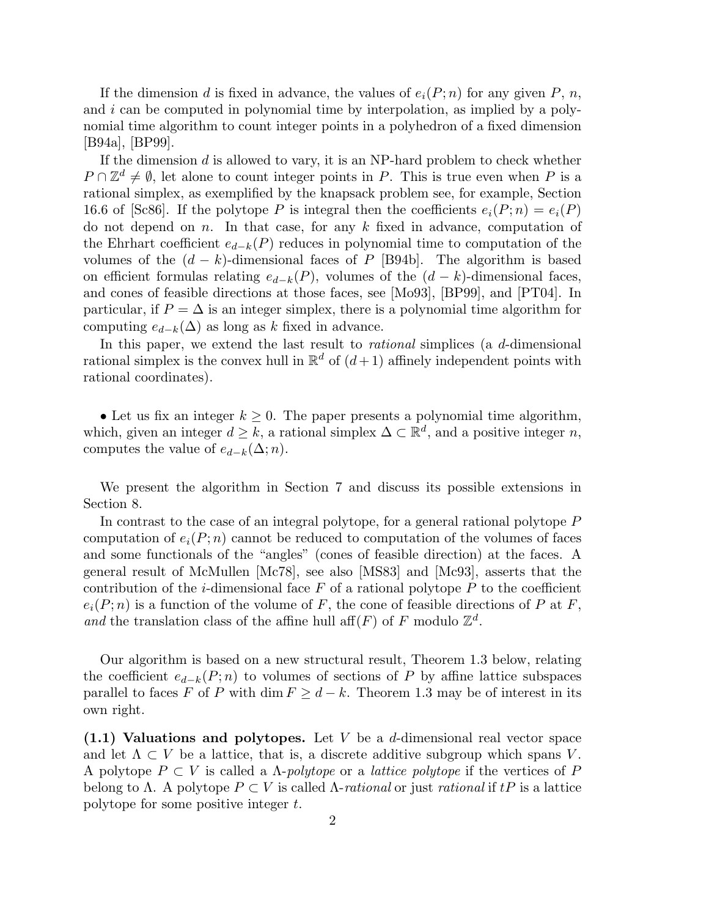If the dimension d is fixed in advance, the values of  $e_i(P; n)$  for any given P, n, and i can be computed in polynomial time by interpolation, as implied by a polynomial time algorithm to count integer points in a polyhedron of a fixed dimension [B94a], [BP99].

If the dimension  $d$  is allowed to vary, it is an NP-hard problem to check whether  $P \cap \mathbb{Z}^d \neq \emptyset$ , let alone to count integer points in P. This is true even when P is a rational simplex, as exemplified by the knapsack problem see, for example, Section 16.6 of [Sc86]. If the polytope P is integral then the coefficients  $e_i(P; n) = e_i(P)$ do not depend on n. In that case, for any  $k$  fixed in advance, computation of the Ehrhart coefficient  $e_{d-k}(P)$  reduces in polynomial time to computation of the volumes of the  $(d - k)$ -dimensional faces of P [B94b]. The algorithm is based on efficient formulas relating  $e_{d-k}(P)$ , volumes of the  $(d - k)$ -dimensional faces, and cones of feasible directions at those faces, see [Mo93], [BP99], and [PT04]. In particular, if  $P = \Delta$  is an integer simplex, there is a polynomial time algorithm for computing  $e_{d-k}(\Delta)$  as long as k fixed in advance.

In this paper, we extend the last result to *rational* simplices (a d-dimensional rational simplex is the convex hull in  $\mathbb{R}^d$  of  $(d+1)$  affinely independent points with rational coordinates).

• Let us fix an integer  $k \geq 0$ . The paper presents a polynomial time algorithm, which, given an integer  $d \geq k$ , a rational simplex  $\Delta \subset \mathbb{R}^d$ , and a positive integer n, computes the value of  $e_{d-k}(\Delta; n)$ .

We present the algorithm in Section 7 and discuss its possible extensions in Section 8.

In contrast to the case of an integral polytope, for a general rational polytope P computation of  $e_i(P; n)$  cannot be reduced to computation of the volumes of faces and some functionals of the "angles" (cones of feasible direction) at the faces. A general result of McMullen [Mc78], see also [MS83] and [Mc93], asserts that the contribution of the *i*-dimensional face  $F$  of a rational polytope  $P$  to the coefficient  $e_i(P; n)$  is a function of the volume of F, the cone of feasible directions of P at F, and the translation class of the affine hull aff(F) of F modulo  $\mathbb{Z}^d$ .

Our algorithm is based on a new structural result, Theorem 1.3 below, relating the coefficient  $e_{d-k}(P; n)$  to volumes of sections of P by affine lattice subspaces parallel to faces F of P with dim  $F ">= d - k$ . Theorem 1.3 may be of interest in its own right.

 $(1.1)$  Valuations and polytopes. Let V be a d-dimensional real vector space and let  $\Lambda \subset V$  be a lattice, that is, a discrete additive subgroup which spans V. A polytope  $P \subset V$  is called a  $\Lambda$ -polytope or a *lattice polytope* if the vertices of P belong to  $\Lambda$ . A polytope  $P \subset V$  is called  $\Lambda$ -rational or just rational if tP is a lattice polytope for some positive integer t.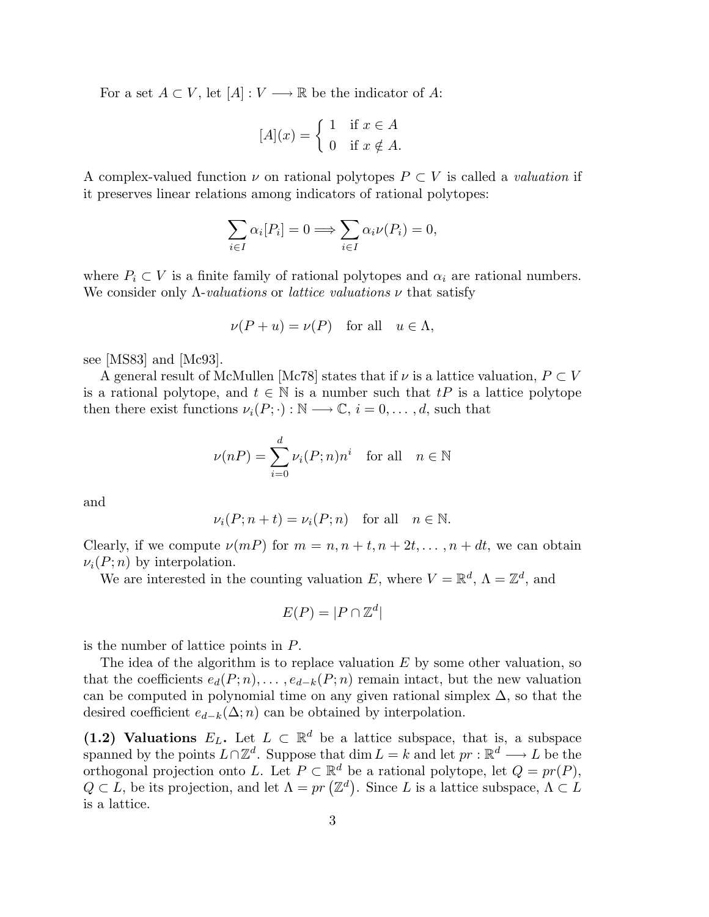For a set  $A \subset V$ , let  $[A]: V \longrightarrow \mathbb{R}$  be the indicator of A:

$$
[A](x) = \begin{cases} 1 & \text{if } x \in A \\ 0 & \text{if } x \notin A. \end{cases}
$$

A complex-valued function  $\nu$  on rational polytopes  $P \subset V$  is called a *valuation* if it preserves linear relations among indicators of rational polytopes:

$$
\sum_{i \in I} \alpha_i [P_i] = 0 \Longrightarrow \sum_{i \in I} \alpha_i \nu(P_i) = 0,
$$

where  $P_i \subset V$  is a finite family of rational polytopes and  $\alpha_i$  are rational numbers. We consider only  $\Lambda$ -valuations or lattice valuations  $\nu$  that satisfy

$$
\nu(P+u) = \nu(P) \quad \text{for all} \quad u \in \Lambda,
$$

see [MS83] and [Mc93].

A general result of McMullen [Mc78] states that if  $\nu$  is a lattice valuation,  $P \subset V$ is a rational polytope, and  $t \in \mathbb{N}$  is a number such that  $tP$  is a lattice polytope then there exist functions  $\nu_i(P; \cdot) : \mathbb{N} \longrightarrow \mathbb{C}, i = 0, \ldots, d$ , such that

$$
\nu(nP) = \sum_{i=0}^{d} \nu_i(P; n)n^i \quad \text{for all} \quad n \in \mathbb{N}
$$

and

$$
\nu_i(P; n+t) = \nu_i(P; n) \quad \text{for all} \quad n \in \mathbb{N}.
$$

Clearly, if we compute  $\nu(mP)$  for  $m = n, n + t, n + 2t, \ldots, n + dt$ , we can obtain  $\nu_i(P; n)$  by interpolation.

We are interested in the counting valuation E, where  $V = \mathbb{R}^d$ ,  $\Lambda = \mathbb{Z}^d$ , and

$$
E(P) = |P \cap \mathbb{Z}^d|
$$

is the number of lattice points in P.

The idea of the algorithm is to replace valuation  $E$  by some other valuation, so that the coefficients  $e_d(P; n), \ldots, e_{d-k}(P; n)$  remain intact, but the new valuation can be computed in polynomial time on any given rational simplex  $\Delta$ , so that the desired coefficient  $e_{d-k}(\Delta; n)$  can be obtained by interpolation.

(1.2) Valuations  $E_L$ . Let  $L \subset \mathbb{R}^d$  be a lattice subspace, that is, a subspace spanned by the points  $L \cap \mathbb{Z}^d$ . Suppose that  $\dim L = k$  and let  $pr : \mathbb{R}^d \longrightarrow L$  be the orthogonal projection onto L. Let  $P \subset \mathbb{R}^d$  be a rational polytope, let  $Q = pr(P)$ ,  $Q \subset L$ , be its projection, and let  $\Lambda = pr(\mathbb{Z}^d)$ . Since L is a lattice subspace,  $\Lambda \subset L$ is a lattice.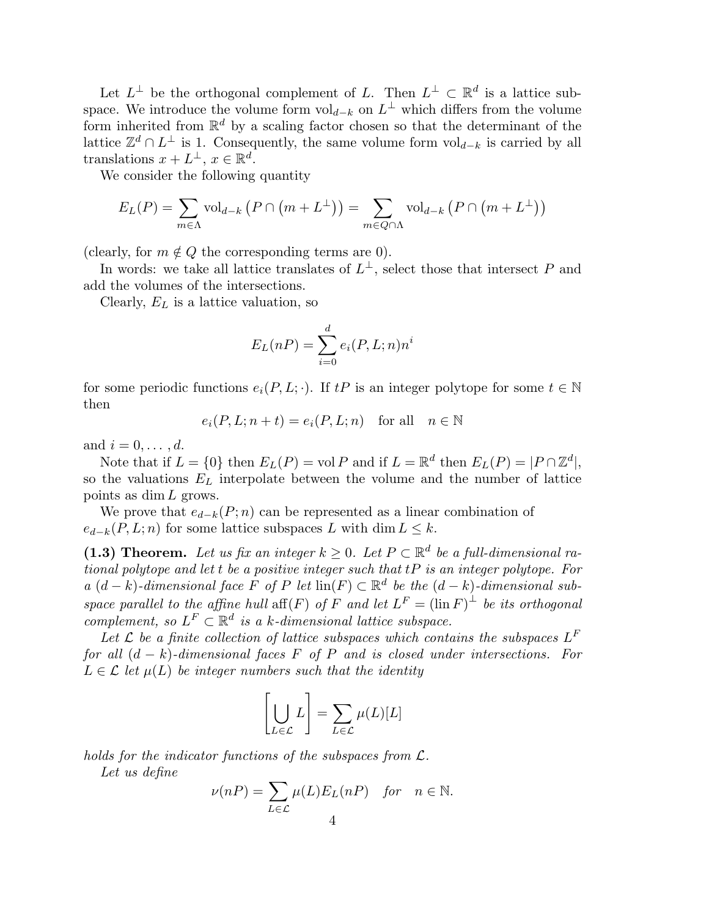Let  $L^{\perp}$  be the orthogonal complement of L. Then  $L^{\perp} \subset \mathbb{R}^{d}$  is a lattice subspace. We introduce the volume form  $\mathrm{vol}_{d-k}$  on  $L^{\perp}$  which differs from the volume form inherited from  $\mathbb{R}^d$  by a scaling factor chosen so that the determinant of the lattice  $\mathbb{Z}^d \cap L^{\perp}$  is 1. Consequently, the same volume form  $\mathrm{vol}_{d-k}$  is carried by all translations  $x + L^{\perp}, x \in \mathbb{R}^d$ .

We consider the following quantity

$$
E_L(P) = \sum_{m \in \Lambda} \text{vol}_{d-k} \left( P \cap \left( m + L^{\perp} \right) \right) = \sum_{m \in Q \cap \Lambda} \text{vol}_{d-k} \left( P \cap \left( m + L^{\perp} \right) \right)
$$

(clearly, for  $m \notin Q$  the corresponding terms are 0).

In words: we take all lattice translates of  $L^{\perp}$ , select those that intersect P and add the volumes of the intersections.

Clearly,  $E_L$  is a lattice valuation, so

$$
E_L(nP) = \sum_{i=0}^d e_i(P, L; n)n^i
$$

for some periodic functions  $e_i(P, L; \cdot)$ . If  $tP$  is an integer polytope for some  $t \in \mathbb{N}$ then

$$
e_i(P, L; n+t) = e_i(P, L; n) \quad \text{for all} \quad n \in \mathbb{N}
$$

and  $i = 0, \ldots, d$ .

Note that if  $L = \{0\}$  then  $E_L(P) = \text{vol } P$  and if  $L = \mathbb{R}^d$  then  $E_L(P) = |P \cap \mathbb{Z}^d|$ , so the valuations  $E_L$  interpolate between the volume and the number of lattice points as dim L grows.

We prove that  $e_{d-k}(P; n)$  can be represented as a linear combination of  $e_{d-k}(P, L; n)$  for some lattice subspaces L with dim  $L \leq k$ .

(1.3) Theorem. Let us fix an integer  $k \geq 0$ . Let  $P \subset \mathbb{R}^d$  be a full-dimensional rational polytope and let t be a positive integer such that tP is an integer polytope. For a  $(d-k)$ -dimensional face F of P let  $\text{lin}(F) \subset \mathbb{R}^d$  be the  $(d-k)$ -dimensional subspace parallel to the affine hull aff $(F)$  of F and let  $L^F = (\ln F)^{\perp}$  be its orthogonal complement, so  $L^F \subset \mathbb{R}^d$  is a k-dimensional lattice subspace.

Let  $\mathcal L$  be a finite collection of lattice subspaces which contains the subspaces  $L^F$ for all  $(d - k)$ -dimensional faces F of P and is closed under intersections. For  $L \in \mathcal{L}$  let  $\mu(L)$  be integer numbers such that the identity

$$
\left[\bigcup_{L\in\mathcal{L}}L\right] = \sum_{L\in\mathcal{L}}\mu(L)[L]
$$

holds for the indicator functions of the subspaces from  $\mathcal{L}$ .

Let us define

$$
\nu(nP) = \sum_{L \in \mathcal{L}} \mu(L) E_L(nP) \quad \text{for} \quad n \in \mathbb{N}.
$$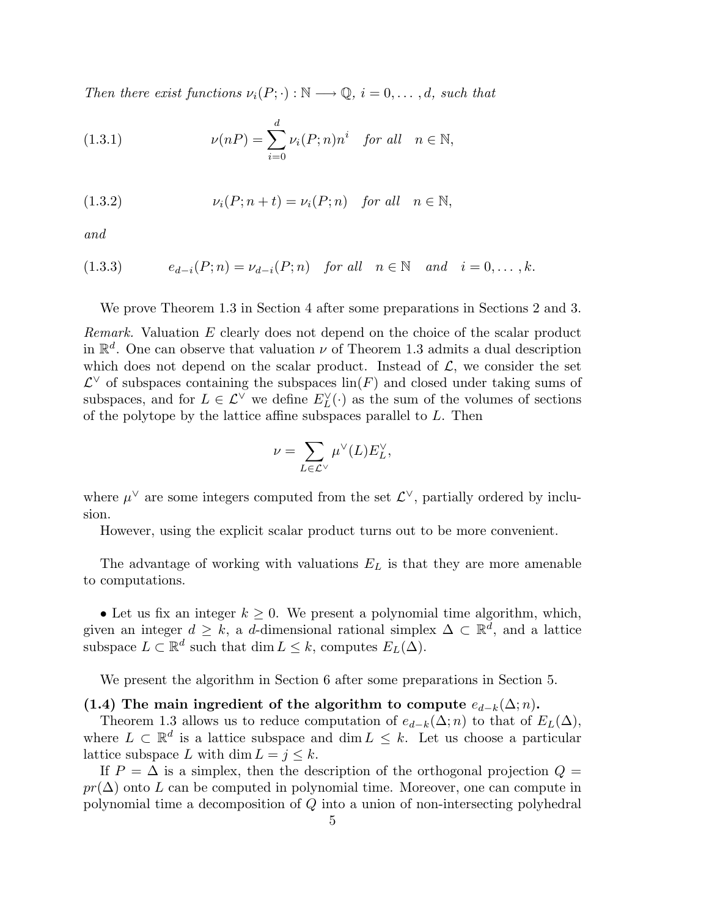Then there exist functions  $\nu_i(P; \cdot) : \mathbb{N} \longrightarrow \mathbb{Q}, i = 0, \ldots, d$ , such that

(1.3.1) 
$$
\nu(nP) = \sum_{i=0}^{d} \nu_i(P;n)n^i \quad \text{for all} \quad n \in \mathbb{N},
$$

(1.3.2) 
$$
\nu_i(P; n+t) = \nu_i(P; n) \quad \text{for all} \quad n \in \mathbb{N},
$$

and

$$
(1.3.3) \t e_{d-i}(P; n) = \nu_{d-i}(P; n) \t \text{for all} \t n \in \mathbb{N} \t and \t i = 0, \ldots, k.
$$

We prove Theorem 1.3 in Section 4 after some preparations in Sections 2 and 3.

Remark. Valuation E clearly does not depend on the choice of the scalar product in  $\mathbb{R}^d$ . One can observe that valuation  $\nu$  of Theorem 1.3 admits a dual description which does not depend on the scalar product. Instead of  $\mathcal{L}$ , we consider the set  $\mathcal{L}^{\vee}$  of subspaces containing the subspaces  $\text{lin}(F)$  and closed under taking sums of subspaces, and for  $L \in \mathcal{L}^{\vee}$  we define  $E_L^{\vee}(\cdot)$  as the sum of the volumes of sections of the polytope by the lattice affine subspaces parallel to L. Then

$$
\nu=\sum_{L\in \mathcal{L}^\vee} \mu^\vee(L) E_L^\vee,
$$

where  $\mu^{\vee}$  are some integers computed from the set  $\mathcal{L}^{\vee}$ , partially ordered by inclusion.

However, using the explicit scalar product turns out to be more convenient.

The advantage of working with valuations  $E<sub>L</sub>$  is that they are more amenable to computations.

• Let us fix an integer  $k \geq 0$ . We present a polynomial time algorithm, which, given an integer  $d \geq k$ , a d-dimensional rational simplex  $\Delta \subset \mathbb{R}^d$ , and a lattice subspace  $L \subset \mathbb{R}^d$  such that  $\dim L \leq k$ , computes  $E_L(\Delta)$ .

We present the algorithm in Section 6 after some preparations in Section 5.

### (1.4) The main ingredient of the algorithm to compute  $e_{d-k}(\Delta; n)$ .

Theorem 1.3 allows us to reduce computation of  $e_{d-k}(\Delta; n)$  to that of  $E_L(\Delta)$ , where  $L \subset \mathbb{R}^d$  is a lattice subspace and  $\dim L \leq k$ . Let us choose a particular lattice subspace L with dim  $L = j \leq k$ .

If  $P = \Delta$  is a simplex, then the description of the orthogonal projection  $Q =$  $pr(\Delta)$  onto L can be computed in polynomial time. Moreover, one can compute in polynomial time a decomposition of Q into a union of non-intersecting polyhedral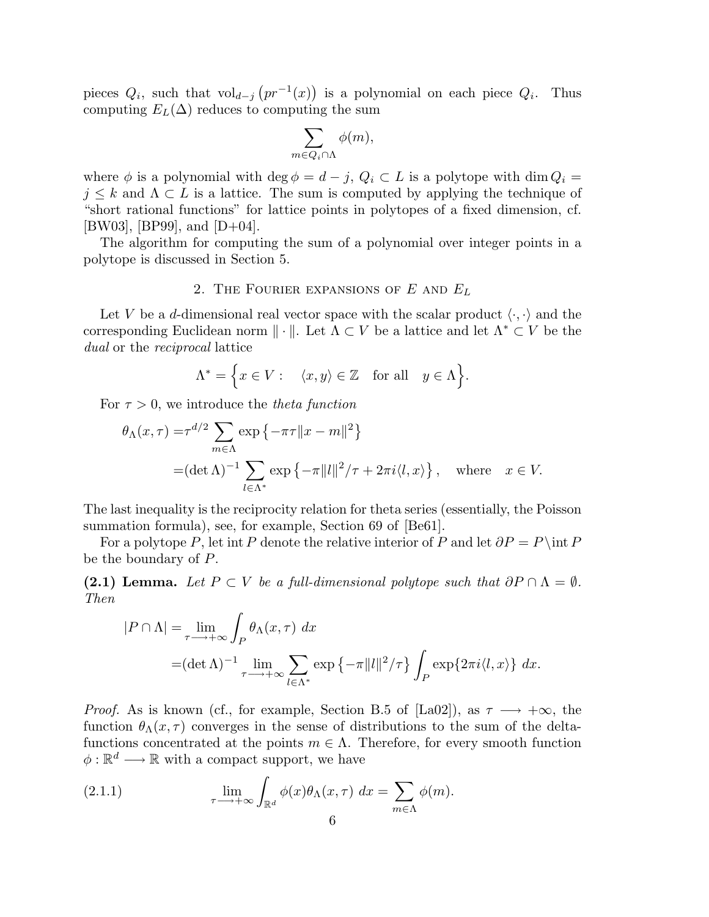pieces  $Q_i$ , such that vol<sub>d−j</sub>  $(pr^{-1}(x))$  is a polynomial on each piece  $Q_i$ . Thus computing  $E_L(\Delta)$  reduces to computing the sum

$$
\sum_{m\in Q_i\cap \Lambda}\phi(m),
$$

where  $\phi$  is a polynomial with deg  $\phi = d - j$ ,  $Q_i \subset L$  is a polytope with dim  $Q_i =$  $j \leq k$  and  $\Lambda \subset L$  is a lattice. The sum is computed by applying the technique of "short rational functions" for lattice points in polytopes of a fixed dimension, cf. [BW03], [BP99], and  $[D+04]$ .

The algorithm for computing the sum of a polynomial over integer points in a polytope is discussed in Section 5.

# 2. THE FOURIER EXPANSIONS OF  $E$  and  $E_L$

Let V be a d-dimensional real vector space with the scalar product  $\langle \cdot, \cdot \rangle$  and the corresponding Euclidean norm  $\|\cdot\|$ . Let  $\Lambda \subset V$  be a lattice and let  $\Lambda^* \subset V$  be the dual or the *reciprocal* lattice

$$
\Lambda^* = \Big\{ x \in V : \quad \langle x, y \rangle \in \mathbb{Z} \quad \text{for all} \quad y \in \Lambda \Big\}.
$$

For  $\tau > 0$ , we introduce the *theta function* 

$$
\theta_{\Lambda}(x,\tau) = \tau^{d/2} \sum_{m \in \Lambda} \exp \left\{-\pi\tau \|x - m\|^2\right\}
$$
  
= $(\det \Lambda)^{-1} \sum_{l \in \Lambda^*} \exp \left\{-\pi \|l\|^2 / \tau + 2\pi i \langle l, x \rangle\right\}, \text{ where } x \in V.$ 

The last inequality is the reciprocity relation for theta series (essentially, the Poisson summation formula), see, for example, Section 69 of [Be61].

For a polytope P, let int P denote the relative interior of P and let  $\partial P = P \cdot \text{int } P$ be the boundary of P.

(2.1) Lemma. Let  $P \subset V$  be a full-dimensional polytope such that  $\partial P \cap \Lambda = \emptyset$ . Then

$$
|P \cap \Lambda| = \lim_{\tau \to +\infty} \int_P \theta_\Lambda(x,\tau) \, dx
$$
  
=  $(\det \Lambda)^{-1} \lim_{\tau \to +\infty} \sum_{l \in \Lambda^*} \exp \{-\pi ||l||^2 / \tau \} \int_P \exp\{2\pi i \langle l, x \rangle\} \, dx.$ 

*Proof.* As is known (cf., for example, Section B.5 of [La02]), as  $\tau \longrightarrow +\infty$ , the function  $\theta_{\Lambda}(x,\tau)$  converges in the sense of distributions to the sum of the deltafunctions concentrated at the points  $m \in \Lambda$ . Therefore, for every smooth function  $\phi : \mathbb{R}^d \longrightarrow \mathbb{R}$  with a compact support, we have

(2.1.1) 
$$
\lim_{\tau \to +\infty} \int_{\mathbb{R}^d} \phi(x) \theta_\Lambda(x,\tau) dx = \sum_{m \in \Lambda} \phi(m).
$$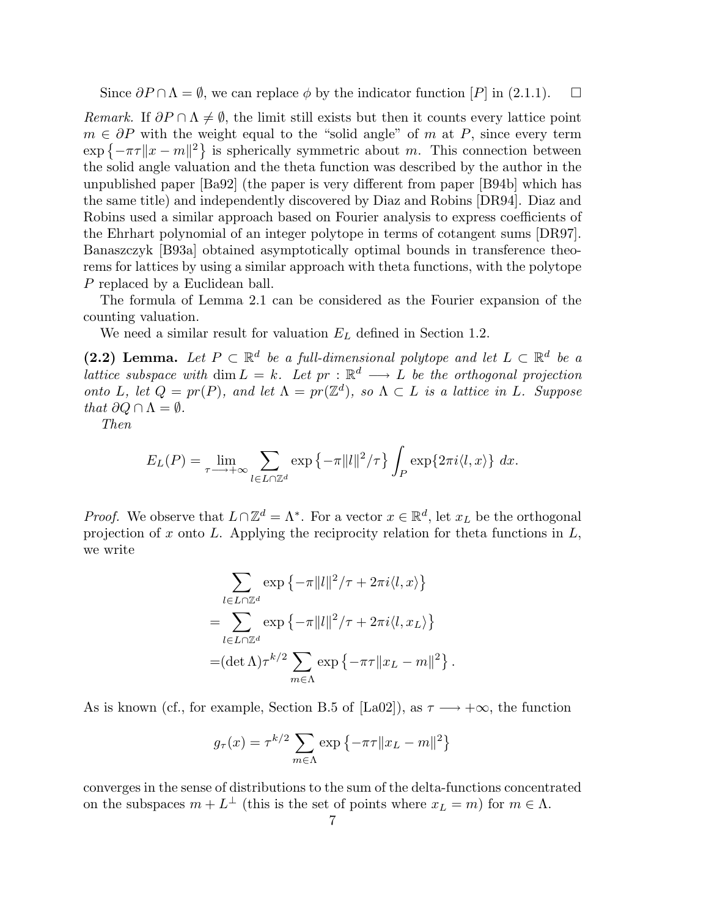Since  $\partial P \cap \Lambda = \emptyset$ , we can replace  $\phi$  by the indicator function  $[P]$  in (2.1.1).  $\Box$ 

Remark. If  $\partial P \cap \Lambda \neq \emptyset$ , the limit still exists but then it counts every lattice point  $m \in \partial P$  with the weight equal to the "solid angle" of m at P, since every term  $\exp\{-\pi\tau\|x-m\|^2\}$  is spherically symmetric about m. This connection between the solid angle valuation and the theta function was described by the author in the unpublished paper [Ba92] (the paper is very different from paper [B94b] which has the same title) and independently discovered by Diaz and Robins [DR94]. Diaz and Robins used a similar approach based on Fourier analysis to express coefficients of the Ehrhart polynomial of an integer polytope in terms of cotangent sums [DR97]. Banaszczyk [B93a] obtained asymptotically optimal bounds in transference theorems for lattices by using a similar approach with theta functions, with the polytope P replaced by a Euclidean ball.

The formula of Lemma 2.1 can be considered as the Fourier expansion of the counting valuation.

We need a similar result for valuation  $E_L$  defined in Section 1.2.

(2.2) Lemma. Let  $P \subset \mathbb{R}^d$  be a full-dimensional polytope and let  $L \subset \mathbb{R}^d$  be a lattice subspace with  $\dim L = k$ . Let  $pr : \mathbb{R}^d \longrightarrow L$  be the orthogonal projection onto L, let  $Q = pr(P)$ , and let  $\Lambda = pr(\mathbb{Z}^d)$ , so  $\Lambda \subset L$  is a lattice in L. Suppose that  $\partial Q \cap \Lambda = \emptyset$ .

Then

$$
E_L(P) = \lim_{\tau \longrightarrow +\infty} \sum_{l \in L \cap \mathbb{Z}^d} \exp \left\{-\pi ||l||^2 / \tau \right\} \int_P \exp\{2\pi i \langle l, x \rangle\} dx.
$$

*Proof.* We observe that  $L \cap \mathbb{Z}^d = \Lambda^*$ . For a vector  $x \in \mathbb{R}^d$ , let  $x_L$  be the orthogonal projection of  $x$  onto  $L$ . Applying the reciprocity relation for theta functions in  $L$ , we write

$$
\sum_{l \in L \cap \mathbb{Z}^d} \exp \left\{-\pi ||l||^2 / \tau + 2\pi i \langle l, x \rangle \right\}
$$
  
= 
$$
\sum_{l \in L \cap \mathbb{Z}^d} \exp \left\{-\pi ||l||^2 / \tau + 2\pi i \langle l, x_L \rangle \right\}
$$
  
= 
$$
(\det \Lambda) \tau^{k/2} \sum_{m \in \Lambda} \exp \left\{-\pi \tau ||x_L - m||^2 \right\}.
$$

As is known (cf., for example, Section B.5 of [La02]), as  $\tau \longrightarrow +\infty$ , the function

$$
g_{\tau}(x) = \tau^{k/2} \sum_{m \in \Lambda} \exp \left\{-\pi \tau ||x_L - m||^2\right\}
$$

converges in the sense of distributions to the sum of the delta-functions concentrated on the subspaces  $m + L^{\perp}$  (this is the set of points where  $x_L = m$ ) for  $m \in \Lambda$ .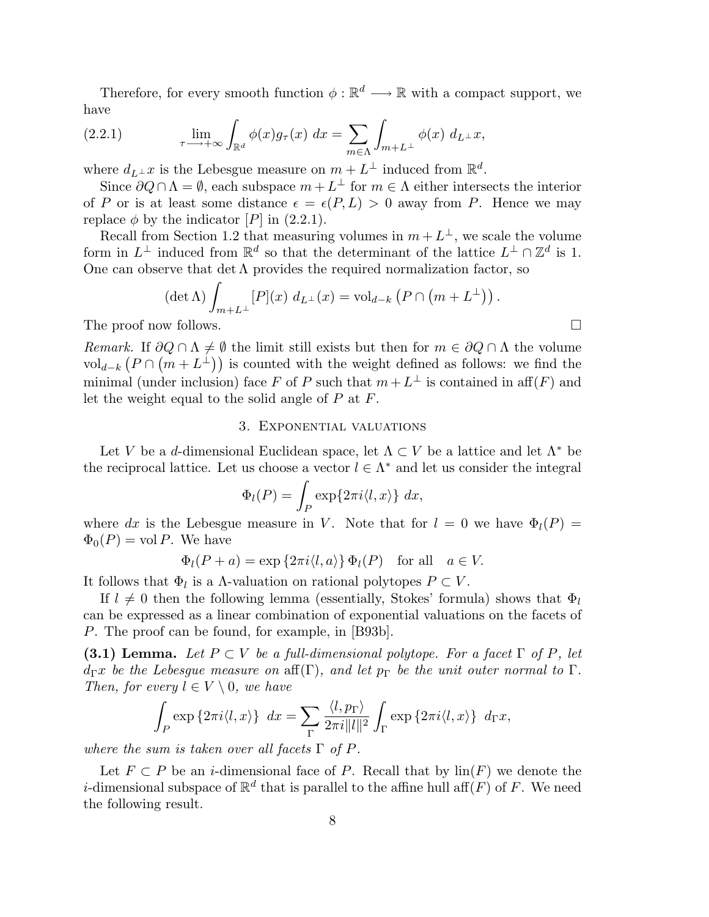Therefore, for every smooth function  $\phi : \mathbb{R}^d \longrightarrow \mathbb{R}$  with a compact support, we have

(2.2.1) 
$$
\lim_{\tau \longrightarrow +\infty} \int_{\mathbb{R}^d} \phi(x) g_{\tau}(x) dx = \sum_{m \in \Lambda} \int_{m+L^{\perp}} \phi(x) d_{L^{\perp}} x,
$$

where  $d_{L^{\perp}}x$  is the Lebesgue measure on  $m + L^{\perp}$  induced from  $\mathbb{R}^d$ .

Since  $\partial Q \cap \Lambda = \emptyset$ , each subspace  $m + L^{\perp}$  for  $m \in \Lambda$  either intersects the interior of P or is at least some distance  $\epsilon = \epsilon(P, L) > 0$  away from P. Hence we may replace  $\phi$  by the indicator [P] in (2.2.1).

Recall from Section 1.2 that measuring volumes in  $m + L^{\perp}$ , we scale the volume form in  $L^{\perp}$  induced from  $\mathbb{R}^d$  so that the determinant of the lattice  $L^{\perp} \cap \mathbb{Z}^d$  is 1. One can observe that det  $\Lambda$  provides the required normalization factor, so

$$
(\det \Lambda) \int_{m+L^{\perp}} [P](x) d_{L^{\perp}}(x) = \text{vol}_{d-k} (P \cap (m+L^{\perp})) .
$$

The proof now follows.

Remark. If  $\partial Q \cap \Lambda \neq \emptyset$  the limit still exists but then for  $m \in \partial Q \cap \Lambda$  the volume vol<sub>d−k</sub>  $(P \cap (m + L^{\perp}))$  is counted with the weight defined as follows: we find the minimal (under inclusion) face F of P such that  $m + L^{\perp}$  is contained in aff(F) and let the weight equal to the solid angle of  $P$  at  $F$ .

#### 3. Exponential valuations

Let V be a d-dimensional Euclidean space, let  $\Lambda \subset V$  be a lattice and let  $\Lambda^*$  be the reciprocal lattice. Let us choose a vector  $l \in \Lambda^*$  and let us consider the integral

$$
\Phi_l(P) = \int_P \exp\{2\pi i \langle l, x \rangle\} \, dx,
$$

where dx is the Lebesgue measure in V. Note that for  $l = 0$  we have  $\Phi_l(P) =$  $\Phi_0(P) = \text{vol } P$ . We have

$$
\Phi_l(P+a) = \exp\left\{2\pi i \langle l, a \rangle\right\} \Phi_l(P) \quad \text{for all} \quad a \in V.
$$

It follows that  $\Phi_l$  is a  $\Lambda$ -valuation on rational polytopes  $P \subset V$ .

If  $l \neq 0$  then the following lemma (essentially, Stokes' formula) shows that  $\Phi_l$ can be expressed as a linear combination of exponential valuations on the facets of P. The proof can be found, for example, in [B93b].

**(3.1) Lemma.** Let  $P \subset V$  be a full-dimensional polytope. For a facet  $\Gamma$  of  $P$ , let  $d_{\Gamma}x$  be the Lebesgue measure on aff(Γ), and let  $p_{\Gamma}$  be the unit outer normal to Γ. Then, for every  $l \in V \setminus 0$ , we have

$$
\int_P \exp\left\{2\pi i \langle l, x\rangle\right\} dx = \sum_{\Gamma} \frac{\langle l, p_{\Gamma} \rangle}{2\pi i ||l||^2} \int_{\Gamma} \exp\left\{2\pi i \langle l, x\rangle\right\} d_{\Gamma} x,
$$

where the sum is taken over all facets  $\Gamma$  of P.

Let  $F \subset P$  be an *i*-dimensional face of P. Recall that by  $\text{lin}(F)$  we denote the *i*-dimensional subspace of  $\mathbb{R}^d$  that is parallel to the affine hull aff $(F)$  of F. We need the following result.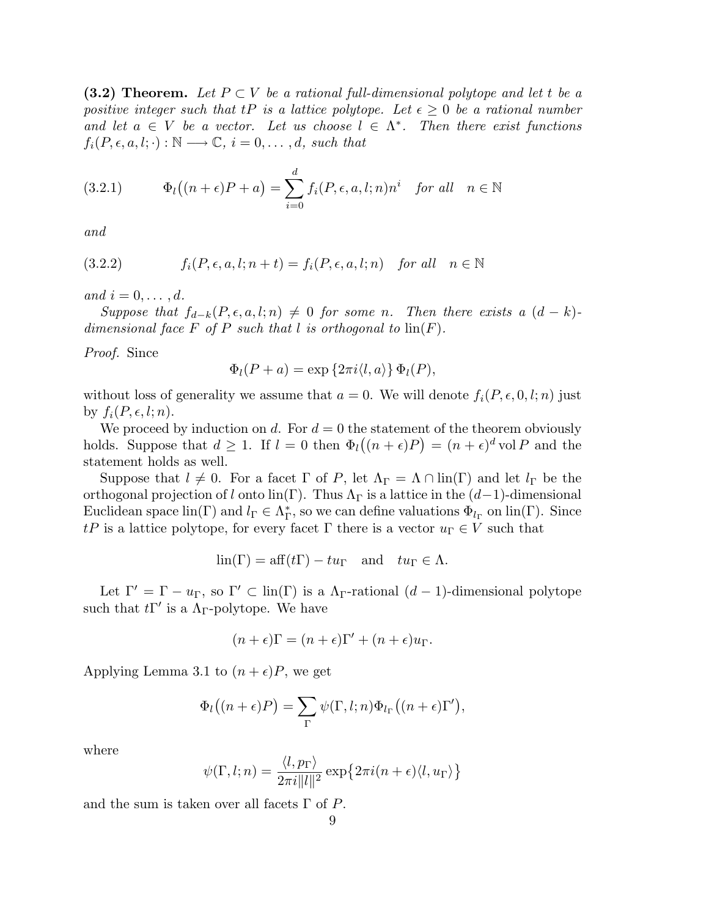(3.2) Theorem. Let  $P \subset V$  be a rational full-dimensional polytope and let t be a positive integer such that tP is a lattice polytope. Let  $\epsilon \geq 0$  be a rational number and let  $a \in V$  be a vector. Let us choose  $l \in \Lambda^*$ . Then there exist functions  $f_i(P, \epsilon, a, l; \cdot): \mathbb{N} \longrightarrow \mathbb{C}, i = 0, \ldots, d$ , such that

(3.2.1) 
$$
\Phi_l((n+\epsilon)P + a) = \sum_{i=0}^d f_i(P, \epsilon, a, l; n)n^i \text{ for all } n \in \mathbb{N}
$$

and

(3.2.2) 
$$
f_i(P, \epsilon, a, l; n+t) = f_i(P, \epsilon, a, l; n) \text{ for all } n \in \mathbb{N}
$$

and  $i = 0, \ldots, d$ .

Suppose that  $f_{d-k}(P, \epsilon, a, l; n) \neq 0$  for some n. Then there exists a  $(d-k)$ dimensional face F of P such that l is orthogonal to  $\text{lin}(F)$ .

Proof. Since

$$
\Phi_l(P+a) = \exp\left\{2\pi i \langle l, a\rangle\right\} \Phi_l(P),
$$

without loss of generality we assume that  $a = 0$ . We will denote  $f_i(P, \epsilon, 0, l; n)$  just by  $f_i(P, \epsilon, l; n)$ .

We proceed by induction on d. For  $d = 0$  the statement of the theorem obviously holds. Suppose that  $d \geq 1$ . If  $l = 0$  then  $\Phi_l((n + \epsilon)P) = (n + \epsilon)^d$  vol P and the statement holds as well.

Suppose that  $l \neq 0$ . For a facet  $\Gamma$  of P, let  $\Lambda_{\Gamma} = \Lambda \cap \text{lin}(\Gamma)$  and let  $l_{\Gamma}$  be the orthogonal projection of l onto lin(Γ). Thus  $\Lambda_{\Gamma}$  is a lattice in the  $(d-1)$ -dimensional Euclidean space  $\text{lin}(\Gamma)$  and  $l_{\Gamma} \in \Lambda_{\Gamma}^*$ , so we can define valuations  $\Phi_{l_{\Gamma}}$  on  $\text{lin}(\Gamma)$ . Since tP is a lattice polytope, for every facet  $\Gamma$  there is a vector  $u_{\Gamma} \in V$  such that

$$
\text{lin}(\Gamma) = \text{aff}(t\Gamma) - tu_{\Gamma} \quad \text{and} \quad tu_{\Gamma} \in \Lambda.
$$

Let  $\Gamma' = \Gamma - u_{\Gamma}$ , so  $\Gamma' \subset \text{lin}(\Gamma)$  is a  $\Lambda_{\Gamma}$ -rational  $(d-1)$ -dimensional polytope such that  $t\Gamma'$  is a  $\Lambda_{\Gamma}$ -polytope. We have

$$
(n+\epsilon)\Gamma = (n+\epsilon)\Gamma' + (n+\epsilon)u_{\Gamma}.
$$

Applying Lemma 3.1 to  $(n + \epsilon)P$ , we get

$$
\Phi_l((n+\epsilon)P) = \sum_{\Gamma} \psi(\Gamma, l; n) \Phi_{l_{\Gamma}}((n+\epsilon)\Gamma'),
$$

where

$$
\psi(\Gamma, l; n) = \frac{\langle l, p_{\Gamma} \rangle}{2\pi i ||l||^2} \exp\{2\pi i (n+\epsilon)\langle l, u_{\Gamma} \rangle\}
$$

and the sum is taken over all facets  $\Gamma$  of P.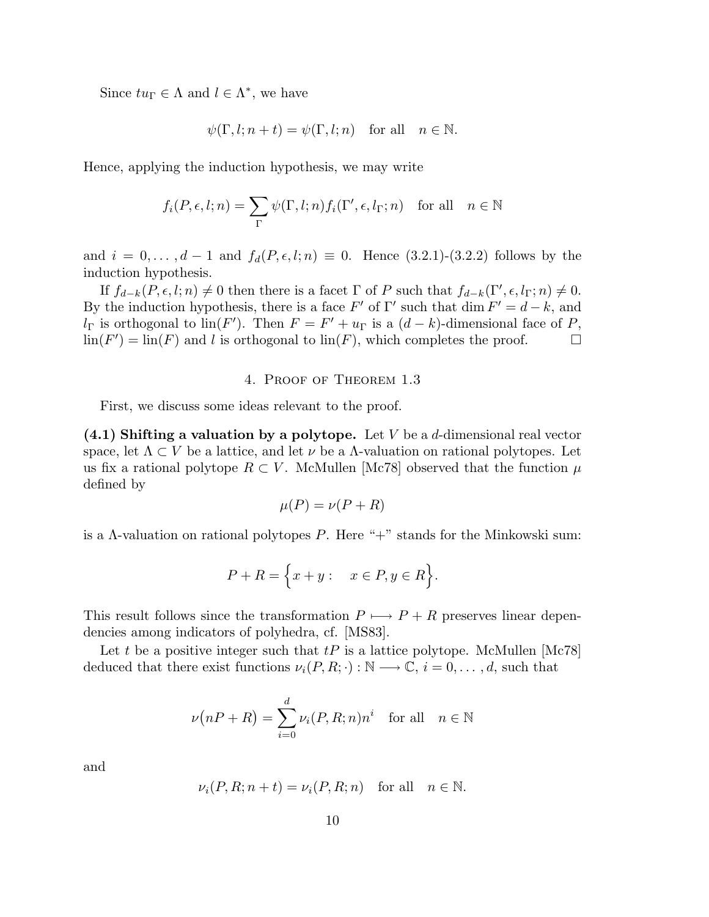Since  $tu_{\Gamma} \in \Lambda$  and  $l \in \Lambda^*$ , we have

$$
\psi(\Gamma, l; n+t) = \psi(\Gamma, l; n) \quad \text{for all} \quad n \in \mathbb{N}.
$$

Hence, applying the induction hypothesis, we may write

$$
f_i(P, \epsilon, l; n) = \sum_{\Gamma} \psi(\Gamma, l; n) f_i(\Gamma', \epsilon, l_{\Gamma}; n) \text{ for all } n \in \mathbb{N}
$$

and  $i = 0, ..., d - 1$  and  $f_d(P, \epsilon, l; n) \equiv 0$ . Hence (3.2.1)-(3.2.2) follows by the induction hypothesis.

If  $f_{d-k}(P, \epsilon, l; n) \neq 0$  then there is a facet  $\Gamma$  of P such that  $f_{d-k}(\Gamma', \epsilon, l_{\Gamma}; n) \neq 0$ . By the induction hypothesis, there is a face  $F'$  of  $\Gamma'$  such that dim  $F' = d - k$ , and  $l_{\Gamma}$  is orthogonal to  $\text{lin}(F')$ . Then  $F = F' + u_{\Gamma}$  is a  $(d - k)$ -dimensional face of P,  $\lim(F') = \lim(F)$  and l is orthogonal to  $\lim(F)$ , which completes the proof.

#### 4. Proof of Theorem 1.3

First, we discuss some ideas relevant to the proof.

 $(4.1)$  Shifting a valuation by a polytope. Let V be a d-dimensional real vector space, let  $\Lambda \subset V$  be a lattice, and let  $\nu$  be a  $\Lambda$ -valuation on rational polytopes. Let us fix a rational polytope  $R \subset V$ . McMullen [Mc78] observed that the function  $\mu$ defined by

$$
\mu(P) = \nu(P + R)
$$

is a  $\Lambda$ -valuation on rational polytopes P. Here "+" stands for the Minkowski sum:

$$
P + R = \Big\{ x + y : \quad x \in P, y \in R \Big\}.
$$

This result follows since the transformation  $P \mapsto P + R$  preserves linear dependencies among indicators of polyhedra, cf. [MS83].

Let t be a positive integer such that  $tP$  is a lattice polytope. McMullen [Mc78] deduced that there exist functions  $\nu_i(P, R; \cdot) : \mathbb{N} \longrightarrow \mathbb{C}, i = 0, \ldots, d$ , such that

$$
\nu(nP + R) = \sum_{i=0}^{d} \nu_i(P, R; n)n^i \text{ for all } n \in \mathbb{N}
$$

and

$$
\nu_i(P, R; n + t) = \nu_i(P, R; n) \quad \text{for all} \quad n \in \mathbb{N}.
$$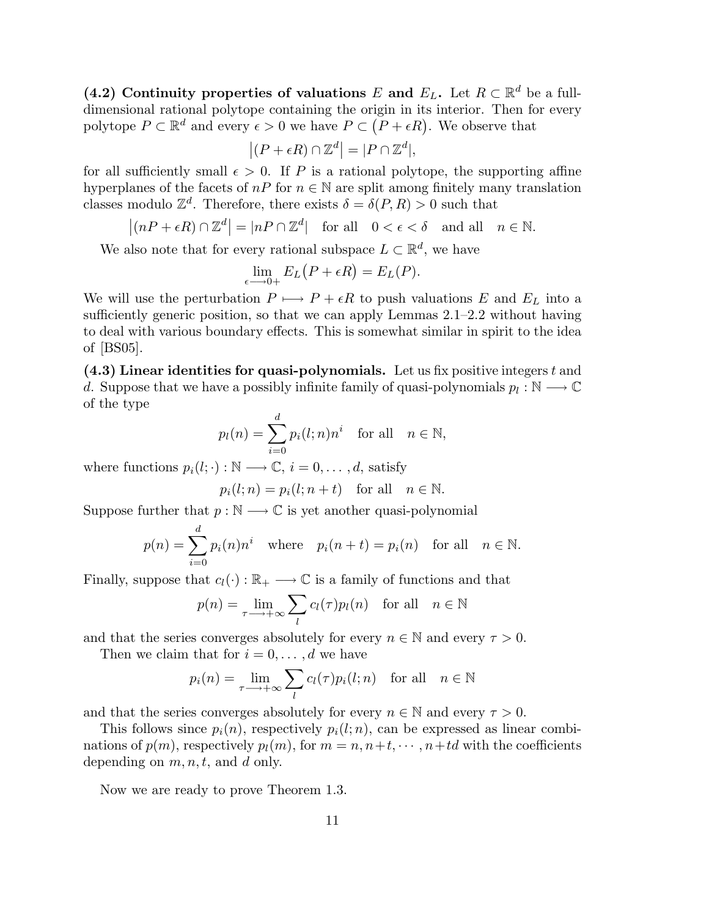(4.2) Continuity properties of valuations E and  $E_L$ . Let  $R \subset \mathbb{R}^d$  be a fulldimensional rational polytope containing the origin in its interior. Then for every polytope  $P \subset \mathbb{R}^d$  and every  $\epsilon > 0$  we have  $P \subset (P + \epsilon R)$ . We observe that

$$
|(P + \epsilon R) \cap \mathbb{Z}^d| = |P \cap \mathbb{Z}^d|,
$$

for all sufficiently small  $\epsilon > 0$ . If P is a rational polytope, the supporting affine hyperplanes of the facets of  $nP$  for  $n \in \mathbb{N}$  are split among finitely many translation classes modulo  $\mathbb{Z}^d$ . Therefore, there exists  $\delta = \delta(P, R) > 0$  such that

$$
|(nP + \epsilon R) \cap \mathbb{Z}^d| = |nP \cap \mathbb{Z}^d|
$$
 for all  $0 < \epsilon < \delta$  and all  $n \in \mathbb{N}$ .

We also note that for every rational subspace  $L \subset \mathbb{R}^d$ , we have

$$
\lim_{\epsilon \longrightarrow 0+} E_L(P + \epsilon R) = E_L(P).
$$

We will use the perturbation  $P \mapsto P + \epsilon R$  to push valuations E and E<sub>L</sub> into a sufficiently generic position, so that we can apply Lemmas 2.1–2.2 without having to deal with various boundary effects. This is somewhat similar in spirit to the idea of [BS05].

 $(4.3)$  Linear identities for quasi-polynomials. Let us fix positive integers t and d. Suppose that we have a possibly infinite family of quasi-polynomials  $p_l : \mathbb{N} \longrightarrow \mathbb{C}$ of the type

$$
p_l(n) = \sum_{i=0}^d p_i(l; n) n^i \quad \text{for all} \quad n \in \mathbb{N},
$$

where functions  $p_i(l; \cdot) : \mathbb{N} \longrightarrow \mathbb{C}, i = 0, \ldots, d$ , satisfy

$$
p_i(l; n) = p_i(l; n + t) \quad \text{for all} \quad n \in \mathbb{N}.
$$

Suppose further that  $p : \mathbb{N} \longrightarrow \mathbb{C}$  is yet another quasi-polynomial

$$
p(n) = \sum_{i=0}^{d} p_i(n) n^i \quad \text{where} \quad p_i(n+t) = p_i(n) \quad \text{for all} \quad n \in \mathbb{N}.
$$

Finally, suppose that  $c_l(\cdot) : \mathbb{R}_+ \longrightarrow \mathbb{C}$  is a family of functions and that

$$
p(n) = \lim_{\tau \to +\infty} \sum_{l} c_l(\tau) p_l(n) \quad \text{for all} \quad n \in \mathbb{N}
$$

and that the series converges absolutely for every  $n \in \mathbb{N}$  and every  $\tau > 0$ .

Then we claim that for  $i = 0, \ldots, d$  we have

$$
p_i(n) = \lim_{\tau \to +\infty} \sum_l c_l(\tau) p_i(l; n) \quad \text{for all} \quad n \in \mathbb{N}
$$

and that the series converges absolutely for every  $n \in \mathbb{N}$  and every  $\tau > 0$ .

This follows since  $p_i(n)$ , respectively  $p_i(l;n)$ , can be expressed as linear combinations of  $p(m)$ , respectively  $p_l(m)$ , for  $m = n, n+t, \cdots, n+td$  with the coefficients depending on  $m, n, t$ , and d only.

Now we are ready to prove Theorem 1.3.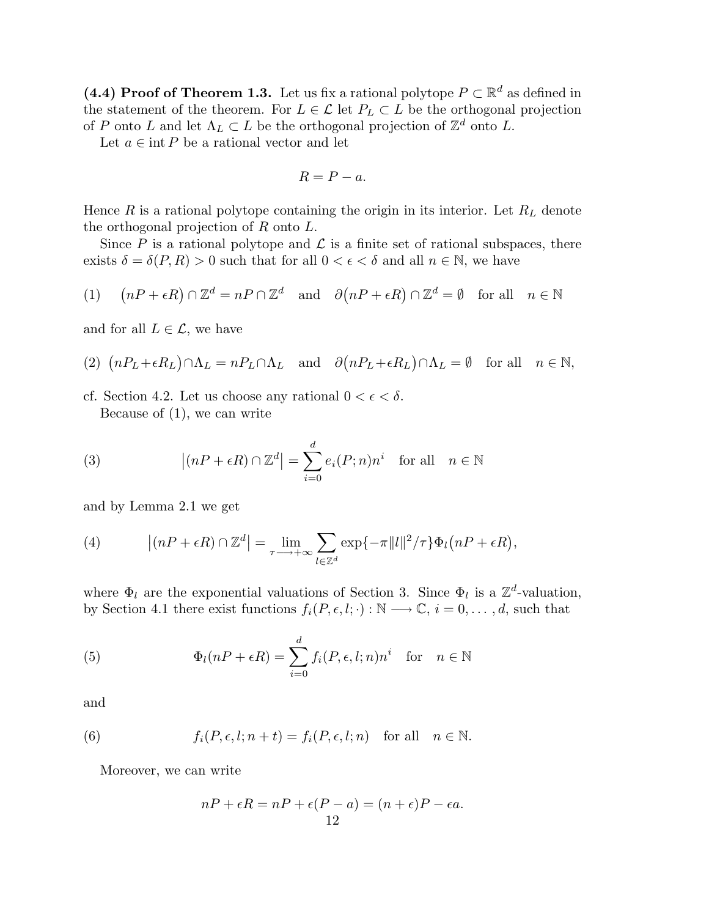(4.4) Proof of Theorem 1.3. Let us fix a rational polytope  $P \subset \mathbb{R}^d$  as defined in the statement of the theorem. For  $L \in \mathcal{L}$  let  $P_L \subset L$  be the orthogonal projection of P onto L and let  $\Lambda_L \subset L$  be the orthogonal projection of  $\mathbb{Z}^d$  onto L.

Let  $a \in \text{int } P$  be a rational vector and let

$$
R = P - a.
$$

Hence  $R$  is a rational polytope containing the origin in its interior. Let  $R_L$  denote the orthogonal projection of R onto L.

Since P is a rational polytope and  $\mathcal L$  is a finite set of rational subspaces, there exists  $\delta = \delta(P, R) > 0$  such that for all  $0 < \epsilon < \delta$  and all  $n \in \mathbb{N}$ , we have

(1) 
$$
(nP + \epsilon R) \cap \mathbb{Z}^d = nP \cap \mathbb{Z}^d
$$
 and  $\partial (nP + \epsilon R) \cap \mathbb{Z}^d = \emptyset$  for all  $n \in \mathbb{N}$ 

and for all  $L \in \mathcal{L}$ , we have

(2) 
$$
(nP_L + \epsilon R_L) \cap \Lambda_L = nP_L \cap \Lambda_L
$$
 and  $\partial (nP_L + \epsilon R_L) \cap \Lambda_L = \emptyset$  for all  $n \in \mathbb{N}$ ,

cf. Section 4.2. Let us choose any rational  $0 < \epsilon < \delta$ . Because of  $(1)$ , we can write

(3) 
$$
\left| (nP + \epsilon R) \cap \mathbb{Z}^d \right| = \sum_{i=0}^d e_i(P; n) n^i \text{ for all } n \in \mathbb{N}
$$

and by Lemma 2.1 we get

(4) 
$$
\left| (nP + \epsilon R) \cap \mathbb{Z}^d \right| = \lim_{\tau \longrightarrow +\infty} \sum_{l \in \mathbb{Z}^d} \exp\{-\pi ||l||^2 / \tau\} \Phi_l(nP + \epsilon R),
$$

where  $\Phi_l$  are the exponential valuations of Section 3. Since  $\Phi_l$  is a  $\mathbb{Z}^d$ -valuation, by Section 4.1 there exist functions  $f_i(P, \epsilon, l; \cdot) : \mathbb{N} \longrightarrow \mathbb{C}, i = 0, \ldots, d$ , such that

(5) 
$$
\Phi_l(nP + \epsilon R) = \sum_{i=0}^d f_i(P, \epsilon, l; n)n^i \text{ for } n \in \mathbb{N}
$$

and

(6) 
$$
f_i(P, \epsilon, l; n+t) = f_i(P, \epsilon, l; n) \text{ for all } n \in \mathbb{N}.
$$

Moreover, we can write

$$
nP + \epsilon R = nP + \epsilon (P - a) = (n + \epsilon)P - \epsilon a.
$$
  
12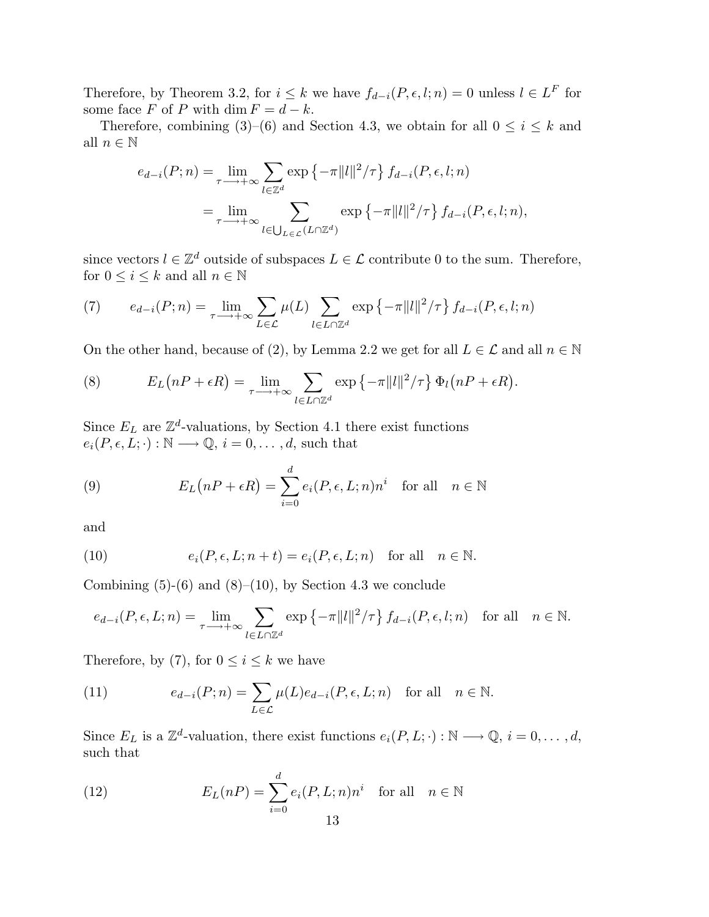Therefore, by Theorem 3.2, for  $i \leq k$  we have  $f_{d-i}(P, \epsilon, l; n) = 0$  unless  $l \in L^F$  for some face F of P with dim  $F = d - k$ .

Therefore, combining (3)–(6) and Section 4.3, we obtain for all  $0 \le i \le k$  and all  $n \in \mathbb{N}$ 

$$
e_{d-i}(P;n) = \lim_{\tau \to +\infty} \sum_{l \in \mathbb{Z}^d} \exp \left\{-\pi ||l||^2 / \tau \right\} f_{d-i}(P,\epsilon,l;n)
$$
  
= 
$$
\lim_{\tau \to +\infty} \sum_{l \in \bigcup_{L \in \mathcal{L}} (L \cap \mathbb{Z}^d)} \exp \left\{-\pi ||l||^2 / \tau \right\} f_{d-i}(P,\epsilon,l;n),
$$

since vectors  $l \in \mathbb{Z}^d$  outside of subspaces  $L \in \mathcal{L}$  contribute 0 to the sum. Therefore, for  $0 \leq i \leq k$  and all  $n \in \mathbb{N}$ 

(7) 
$$
e_{d-i}(P;n) = \lim_{\tau \to +\infty} \sum_{L \in \mathcal{L}} \mu(L) \sum_{l \in L \cap \mathbb{Z}^d} \exp \left\{-\pi ||l||^2 / \tau \right\} f_{d-i}(P,\epsilon,l;n)
$$

On the other hand, because of (2), by Lemma 2.2 we get for all  $L \in \mathcal{L}$  and all  $n \in \mathbb{N}$ 

(8) 
$$
E_L(nP + \epsilon R) = \lim_{\tau \to +\infty} \sum_{l \in L \cap \mathbb{Z}^d} \exp \{-\pi ||l||^2 / \tau \} \Phi_l(nP + \epsilon R).
$$

Since  $E_L$  are  $\mathbb{Z}^d$ -valuations, by Section 4.1 there exist functions  $e_i(P, \epsilon, L; \cdot): \mathbb{N} \longrightarrow \mathbb{Q}, i = 0, \ldots, d$ , such that

(9) 
$$
E_L(nP + \epsilon R) = \sum_{i=0}^d e_i(P, \epsilon, L; n)n^i \text{ for all } n \in \mathbb{N}
$$

and

(10) 
$$
e_i(P, \epsilon, L; n+t) = e_i(P, \epsilon, L; n) \text{ for all } n \in \mathbb{N}.
$$

Combining  $(5)-(6)$  and  $(8)-(10)$ , by Section 4.3 we conclude

$$
e_{d-i}(P,\epsilon,L;n) = \lim_{\tau \longrightarrow +\infty} \sum_{l \in L \cap \mathbb{Z}^d} \exp \left\{-\pi ||l||^2/\tau\right\} f_{d-i}(P,\epsilon,l;n) \text{ for all } n \in \mathbb{N}.
$$

Therefore, by (7), for  $0 \le i \le k$  we have

(11) 
$$
e_{d-i}(P;n) = \sum_{L \in \mathcal{L}} \mu(L) e_{d-i}(P, \epsilon, L; n) \text{ for all } n \in \mathbb{N}.
$$

Since  $E_L$  is a  $\mathbb{Z}^d$ -valuation, there exist functions  $e_i(P, L; \cdot) : \mathbb{N} \longrightarrow \mathbb{Q}, i = 0, \ldots, d$ , such that

(12) 
$$
E_L(nP) = \sum_{i=0}^d e_i(P, L; n)n^i \text{ for all } n \in \mathbb{N}
$$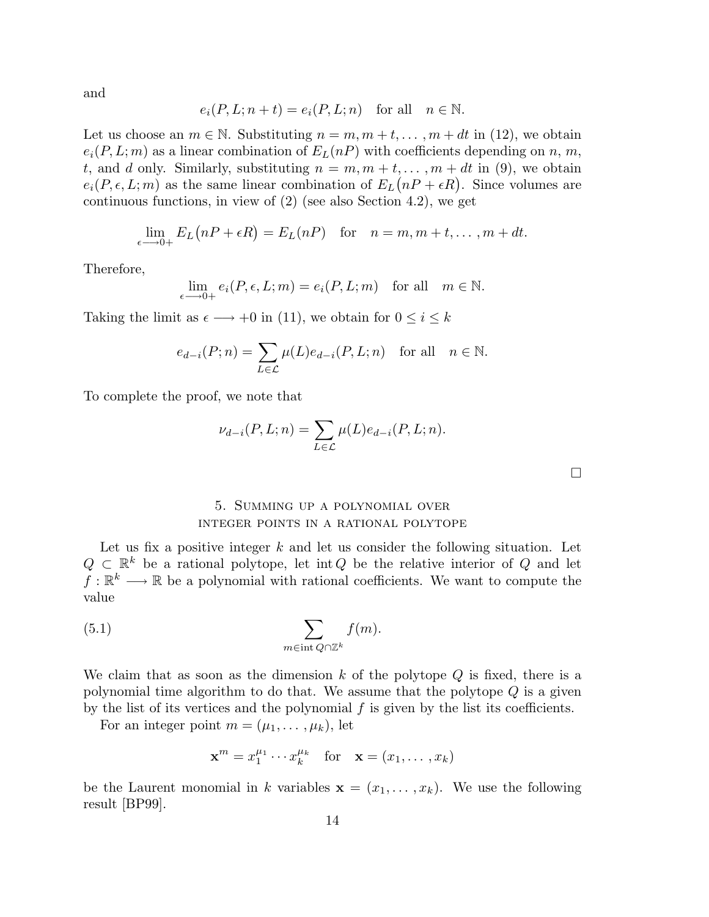and

$$
e_i(P, L; n+t) = e_i(P, L; n) \text{ for all } n \in \mathbb{N}.
$$

Let us choose an  $m \in \mathbb{N}$ . Substituting  $n = m, m + t, \ldots, m + dt$  in (12), we obtain  $e_i(P, L; m)$  as a linear combination of  $E_L(nP)$  with coefficients depending on n, m, t, and d only. Similarly, substituting  $n = m, m + t, \ldots, m + dt$  in (9), we obtain  $e_i(P, \epsilon, L; m)$  as the same linear combination of  $E_L(nP + \epsilon R)$ . Since volumes are continuous functions, in view of (2) (see also Section 4.2), we get

$$
\lim_{\epsilon \to 0+} E_L(nP + \epsilon R) = E_L(nP) \text{ for } n = m, m + t, \dots, m + dt.
$$

Therefore,

$$
\lim_{\epsilon \longrightarrow 0+} e_i(P, \epsilon, L; m) = e_i(P, L; m) \text{ for all } m \in \mathbb{N}.
$$

Taking the limit as  $\epsilon \longrightarrow +0$  in (11), we obtain for  $0 \leq i \leq k$ 

$$
e_{d-i}(P;n) = \sum_{L \in \mathcal{L}} \mu(L)e_{d-i}(P,L;n) \text{ for all } n \in \mathbb{N}.
$$

To complete the proof, we note that

$$
\nu_{d-i}(P, L; n) = \sum_{L \in \mathcal{L}} \mu(L) e_{d-i}(P, L; n).
$$

 $\Box$ 

## 5. Summing up a polynomial over integer points in a rational polytope

Let us fix a positive integer  $k$  and let us consider the following situation. Let  $Q \subset \mathbb{R}^k$  be a rational polytope, let int Q be the relative interior of Q and let  $f: \mathbb{R}^k \longrightarrow \mathbb{R}$  be a polynomial with rational coefficients. We want to compute the value

(5.1) 
$$
\sum_{m \in \text{int } Q \cap \mathbb{Z}^k} f(m).
$$

We claim that as soon as the dimension  $k$  of the polytope  $Q$  is fixed, there is a polynomial time algorithm to do that. We assume that the polytope Q is a given by the list of its vertices and the polynomial  $f$  is given by the list its coefficients.

For an integer point  $m = (\mu_1, \dots, \mu_k)$ , let

$$
\mathbf{x}^m = x_1^{\mu_1} \cdots x_k^{\mu_k} \quad \text{for} \quad \mathbf{x} = (x_1, \dots, x_k)
$$

be the Laurent monomial in k variables  $\mathbf{x} = (x_1, \dots, x_k)$ . We use the following result [BP99].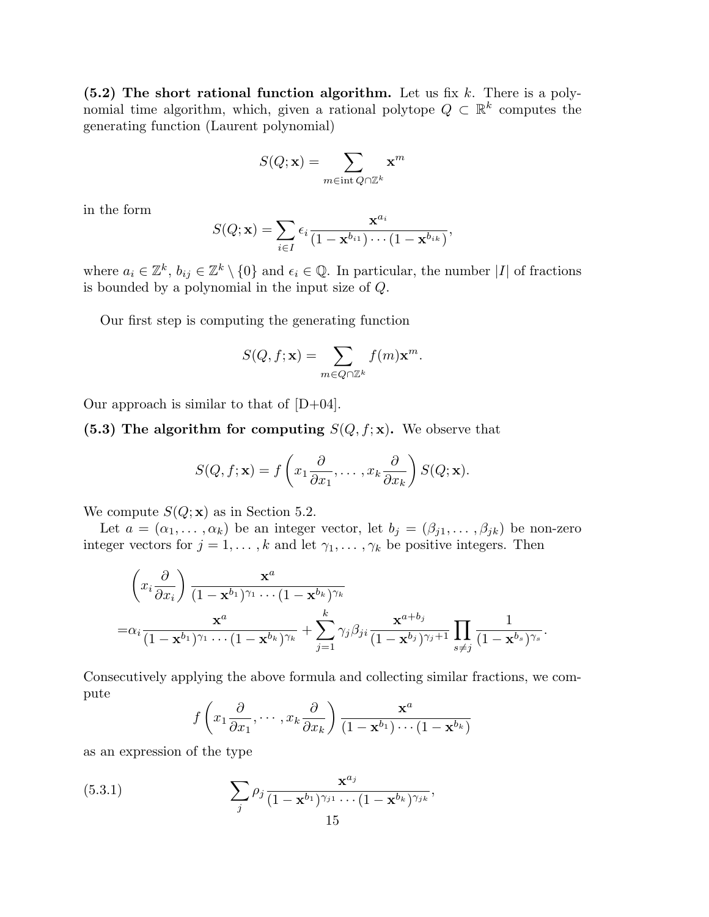(5.2) The short rational function algorithm. Let us fix  $k$ . There is a polynomial time algorithm, which, given a rational polytope  $Q \subset \mathbb{R}^k$  computes the generating function (Laurent polynomial)

$$
S(Q; \mathbf{x}) = \sum_{m \in \text{int } Q \cap \mathbb{Z}^k} \mathbf{x}^m
$$

in the form

$$
S(Q; \mathbf{x}) = \sum_{i \in I} \epsilon_i \frac{\mathbf{x}^{a_i}}{(1 - \mathbf{x}^{b_{i1}}) \cdots (1 - \mathbf{x}^{b_{ik}})},
$$

where  $a_i \in \mathbb{Z}^k$ ,  $b_{ij} \in \mathbb{Z}^k \setminus \{0\}$  and  $\epsilon_i \in \mathbb{Q}$ . In particular, the number |I| of fractions is bounded by a polynomial in the input size of Q.

Our first step is computing the generating function

$$
S(Q, f; \mathbf{x}) = \sum_{m \in Q \cap \mathbb{Z}^k} f(m) \mathbf{x}^m.
$$

Our approach is similar to that of  $[D+04]$ .

(5.3) The algorithm for computing  $S(Q, f; \mathbf{x})$ . We observe that

$$
S(Q, f; \mathbf{x}) = f\left(x_1 \frac{\partial}{\partial x_1}, \dots, x_k \frac{\partial}{\partial x_k}\right) S(Q; \mathbf{x}).
$$

We compute  $S(Q; \mathbf{x})$  as in Section 5.2.

Let  $a = (\alpha_1, \dots, \alpha_k)$  be an integer vector, let  $b_j = (\beta_{j1}, \dots, \beta_{jk})$  be non-zero integer vectors for  $j = 1, ..., k$  and let  $\gamma_1, ..., \gamma_k$  be positive integers. Then

$$
\left(x_i\frac{\partial}{\partial x_i}\right)\frac{\mathbf{x}^a}{(1-\mathbf{x}^{b_1})^{\gamma_1}\cdots(1-\mathbf{x}^{b_k})^{\gamma_k}} = \alpha_i\frac{\mathbf{x}^a}{(1-\mathbf{x}^{b_1})^{\gamma_1}\cdots(1-\mathbf{x}^{b_k})^{\gamma_k}} + \sum_{j=1}^k \gamma_j \beta_{ji}\frac{\mathbf{x}^{a+b_j}}{(1-\mathbf{x}^{b_j})^{\gamma_j+1}}\prod_{s\neq j}\frac{1}{(1-\mathbf{x}^{b_s})^{\gamma_s}}.
$$

Consecutively applying the above formula and collecting similar fractions, we compute

$$
f\left(x_1\frac{\partial}{\partial x_1},\cdots,x_k\frac{\partial}{\partial x_k}\right)\frac{\mathbf{x}^a}{(1-\mathbf{x}^{b_1})\cdots(1-\mathbf{x}^{b_k})}
$$

as an expression of the type

(5.3.1) 
$$
\sum_{j} \rho_j \frac{\mathbf{x}^{a_j}}{(1-\mathbf{x}^{b_1})^{\gamma_{j1}} \cdots (1-\mathbf{x}^{b_k})^{\gamma_{jk}}},
$$
15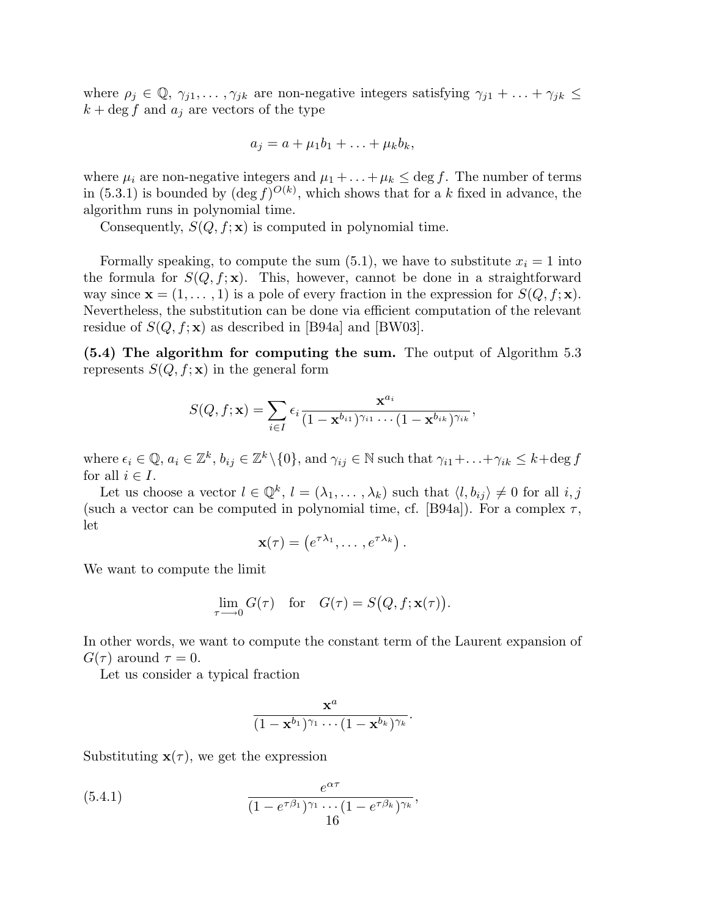where  $\rho_j \in \mathbb{Q}, \gamma_{j1}, \ldots, \gamma_{jk}$  are non-negative integers satisfying  $\gamma_{j1} + \ldots + \gamma_{jk} \leq$  $k + \deg f$  and  $a_i$  are vectors of the type

$$
a_j = a + \mu_1 b_1 + \ldots + \mu_k b_k,
$$

where  $\mu_i$  are non-negative integers and  $\mu_1 + \ldots + \mu_k \leq \deg f$ . The number of terms in (5.3.1) is bounded by  $(\deg f)^{O(k)}$ , which shows that for a k fixed in advance, the algorithm runs in polynomial time.

Consequently,  $S(Q, f; \mathbf{x})$  is computed in polynomial time.

Formally speaking, to compute the sum  $(5.1)$ , we have to substitute  $x<sub>i</sub> = 1$  into the formula for  $S(Q, f; \mathbf{x})$ . This, however, cannot be done in a straightforward way since  $\mathbf{x} = (1, \ldots, 1)$  is a pole of every fraction in the expression for  $S(Q, f; \mathbf{x})$ . Nevertheless, the substitution can be done via efficient computation of the relevant residue of  $S(Q, f; \mathbf{x})$  as described in [B94a] and [BW03].

(5.4) The algorithm for computing the sum. The output of Algorithm 5.3 represents  $S(Q, f; \mathbf{x})$  in the general form

$$
S(Q, f; \mathbf{x}) = \sum_{i \in I} \epsilon_i \frac{\mathbf{x}^{a_i}}{(1 - \mathbf{x}^{b_{i1}})^{\gamma_{i1}} \cdots (1 - \mathbf{x}^{b_{ik}})^{\gamma_{ik}}},
$$

where  $\epsilon_i \in \mathbb{Q}, a_i \in \mathbb{Z}^k, b_{ij} \in \mathbb{Z}^k \setminus \{0\}, \text{ and } \gamma_{ij} \in \mathbb{N} \text{ such that } \gamma_{i1} + \ldots + \gamma_{ik} \leq k + \text{deg } f$ for all  $i \in I$ .

Let us choose a vector  $l \in \mathbb{Q}^k$ ,  $l = (\lambda_1, \ldots, \lambda_k)$  such that  $\langle l, b_{ij} \rangle \neq 0$  for all  $i, j$ (such a vector can be computed in polynomial time, cf. [B94a]). For a complex  $\tau$ , let

$$
\mathbf{x}(\tau) = \left(e^{\tau \lambda_1}, \dots, e^{\tau \lambda_k}\right).
$$

We want to compute the limit

$$
\lim_{\tau \to 0} G(\tau) \quad \text{for} \quad G(\tau) = S\big(Q, f; \mathbf{x}(\tau)\big).
$$

In other words, we want to compute the constant term of the Laurent expansion of  $G(\tau)$  around  $\tau = 0$ .

Let us consider a typical fraction

$$
\frac{\mathbf{x}^a}{(1-\mathbf{x}^{b_1})^{\gamma_1}\cdots(1-\mathbf{x}^{b_k})^{\gamma_k}}.
$$

Substituting  $\mathbf{x}(\tau)$ , we get the expression

(5.4.1) 
$$
\frac{e^{\alpha \tau}}{(1 - e^{\tau \beta_1})^{\gamma_1} \cdots (1 - e^{\tau \beta_k})^{\gamma_k}},
$$
16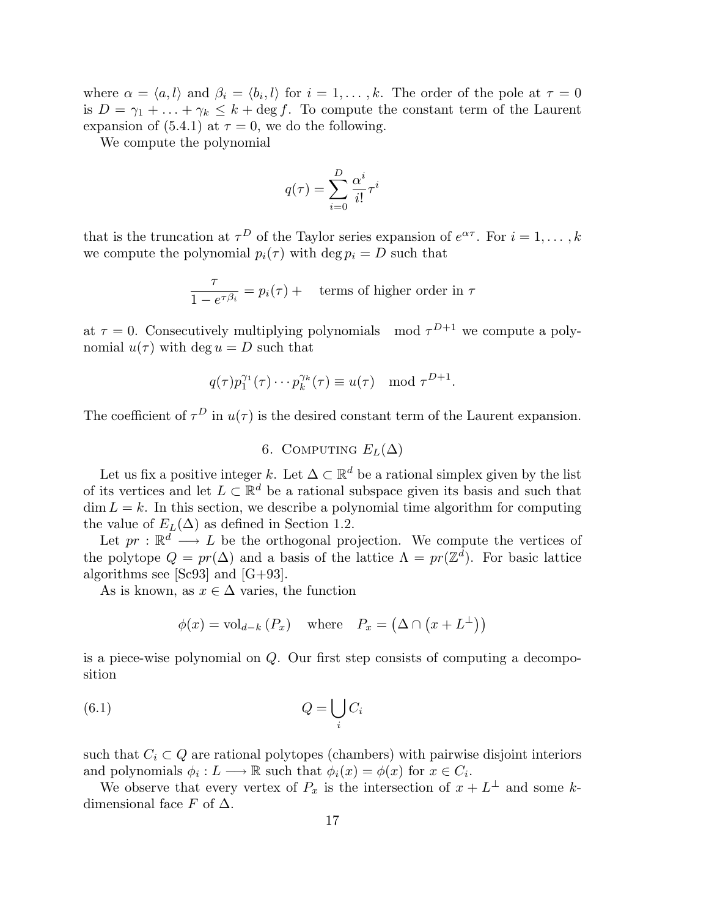where  $\alpha = \langle a, l \rangle$  and  $\beta_i = \langle b_i, l \rangle$  for  $i = 1, \dots, k$ . The order of the pole at  $\tau = 0$ is  $D = \gamma_1 + \ldots + \gamma_k \leq k + \deg f$ . To compute the constant term of the Laurent expansion of (5.4.1) at  $\tau = 0$ , we do the following.

We compute the polynomial

$$
q(\tau) = \sum_{i=0}^D \frac{\alpha^i}{i!} \tau^i
$$

that is the truncation at  $\tau^D$  of the Taylor series expansion of  $e^{\alpha \tau}$ . For  $i = 1, \ldots, k$ we compute the polynomial  $p_i(\tau)$  with deg  $p_i = D$  such that

$$
\frac{\tau}{1 - e^{\tau \beta_i}} = p_i(\tau) + \text{ terms of higher order in } \tau
$$

at  $\tau = 0$ . Consecutively multiplying polynomials mod  $\tau^{D+1}$  we compute a polynomial  $u(\tau)$  with deg  $u = D$  such that

$$
q(\tau)p_1^{\gamma_1}(\tau)\cdots p_k^{\gamma_k}(\tau) \equiv u(\tau) \mod \tau^{D+1}.
$$

The coefficient of  $\tau^D$  in  $u(\tau)$  is the desired constant term of the Laurent expansion.

# 6. COMPUTING  $E_L(\Delta)$

Let us fix a positive integer k. Let  $\Delta \subset \mathbb{R}^d$  be a rational simplex given by the list of its vertices and let  $L \subset \mathbb{R}^d$  be a rational subspace given its basis and such that  $\dim L = k$ . In this section, we describe a polynomial time algorithm for computing the value of  $E_L(\Delta)$  as defined in Section 1.2.

Let  $pr : \mathbb{R}^d \longrightarrow L$  be the orthogonal projection. We compute the vertices of the polytope  $Q = pr(\Delta)$  and a basis of the lattice  $\Lambda = pr(\mathbb{Z}^d)$ . For basic lattice algorithms see [Sc93] and [G+93].

As is known, as  $x \in \Delta$  varies, the function

$$
\phi(x) = \text{vol}_{d-k} (P_x) \quad \text{where} \quad P_x = (\Delta \cap (x + L^{\perp}))
$$

is a piece-wise polynomial on Q. Our first step consists of computing a decomposition

$$
(6.1) \t Q = \bigcup_i C_i
$$

such that  $C_i \subset Q$  are rational polytopes (chambers) with pairwise disjoint interiors and polynomials  $\phi_i: L \longrightarrow \mathbb{R}$  such that  $\phi_i(x) = \phi(x)$  for  $x \in C_i$ .

We observe that every vertex of  $P_x$  is the intersection of  $x + L^{\perp}$  and some kdimensional face F of  $\Delta$ .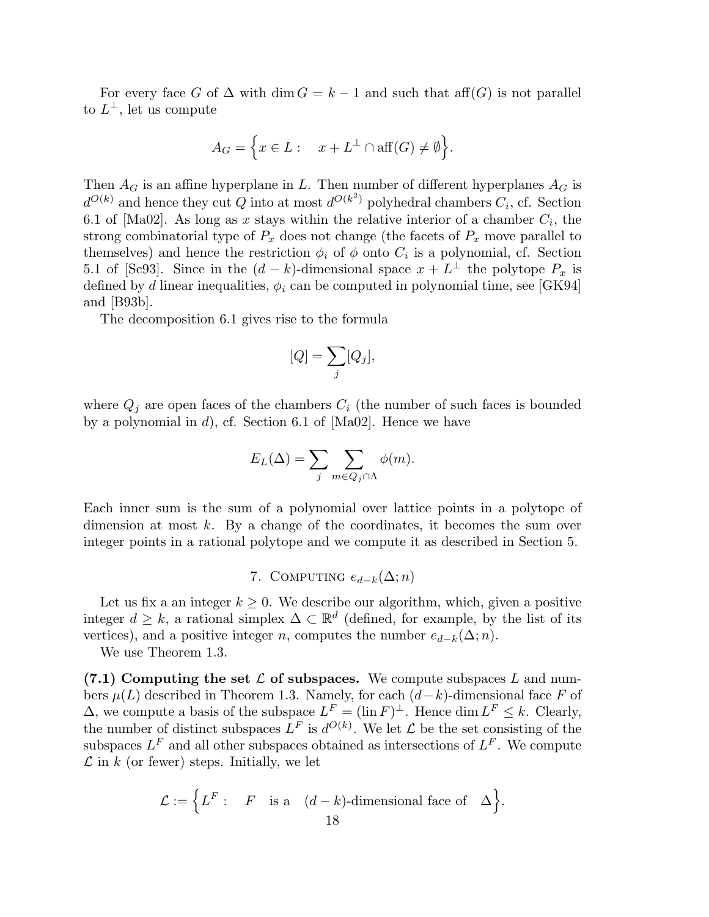For every face G of  $\Delta$  with dim  $G = k - 1$  and such that aff(G) is not parallel to  $L^{\perp}$ , let us compute

$$
A_G = \Big\{ x \in L : \quad x + L^{\perp} \cap \text{aff}(G) \neq \emptyset \Big\}.
$$

Then  $A_G$  is an affine hyperplane in L. Then number of different hyperplanes  $A_G$  is  $d^{O(k)}$  and hence they cut Q into at most  $d^{O(k^2)}$  polyhedral chambers  $C_i$ , cf. Section 6.1 of [Ma02]. As long as x stays within the relative interior of a chamber  $C_i$ , the strong combinatorial type of  $P_x$  does not change (the facets of  $P_x$  move parallel to themselves) and hence the restriction  $\phi_i$  of  $\phi$  onto  $C_i$  is a polynomial, cf. Section 5.1 of [Sc93]. Since in the  $(d-k)$ -dimensional space  $x + L^{\perp}$  the polytope  $P_x$  is defined by d linear inequalities,  $\phi_i$  can be computed in polynomial time, see [GK94] and [B93b].

The decomposition 6.1 gives rise to the formula

$$
[Q] = \sum_j [Q_j],
$$

where  $Q_j$  are open faces of the chambers  $C_i$  (the number of such faces is bounded by a polynomial in d), cf. Section 6.1 of [Ma02]. Hence we have

$$
E_L(\Delta) = \sum_j \sum_{m \in Q_j \cap \Lambda} \phi(m).
$$

Each inner sum is the sum of a polynomial over lattice points in a polytope of dimension at most  $k$ . By a change of the coordinates, it becomes the sum over integer points in a rational polytope and we compute it as described in Section 5.

7. COMPUTING  $e_{d-k}(\Delta; n)$ 

Let us fix a an integer  $k \geq 0$ . We describe our algorithm, which, given a positive integer  $d \geq k$ , a rational simplex  $\Delta \subset \mathbb{R}^d$  (defined, for example, by the list of its vertices), and a positive integer n, computes the number  $e_{d-k}(\Delta; n)$ .

We use Theorem 1.3.

 $(7.1)$  Computing the set L of subspaces. We compute subspaces L and numbers  $\mu(L)$  described in Theorem 1.3. Namely, for each  $(d-k)$ -dimensional face F of  $\Delta$ , we compute a basis of the subspace  $L^F = (\ln F)^{\perp}$ . Hence  $\dim L^F \leq k$ . Clearly, the number of distinct subspaces  $L^F$  is  $d^{O(k)}$ . We let  $\mathcal L$  be the set consisting of the subspaces  $L^F$  and all other subspaces obtained as intersections of  $L^F$ . We compute  $\mathcal L$  in k (or fewer) steps. Initially, we let

$$
\mathcal{L} := \Big\{ L^F : \quad F \quad \text{is a} \quad (d-k)\text{-dimensional face of} \quad \Delta \Big\}.
$$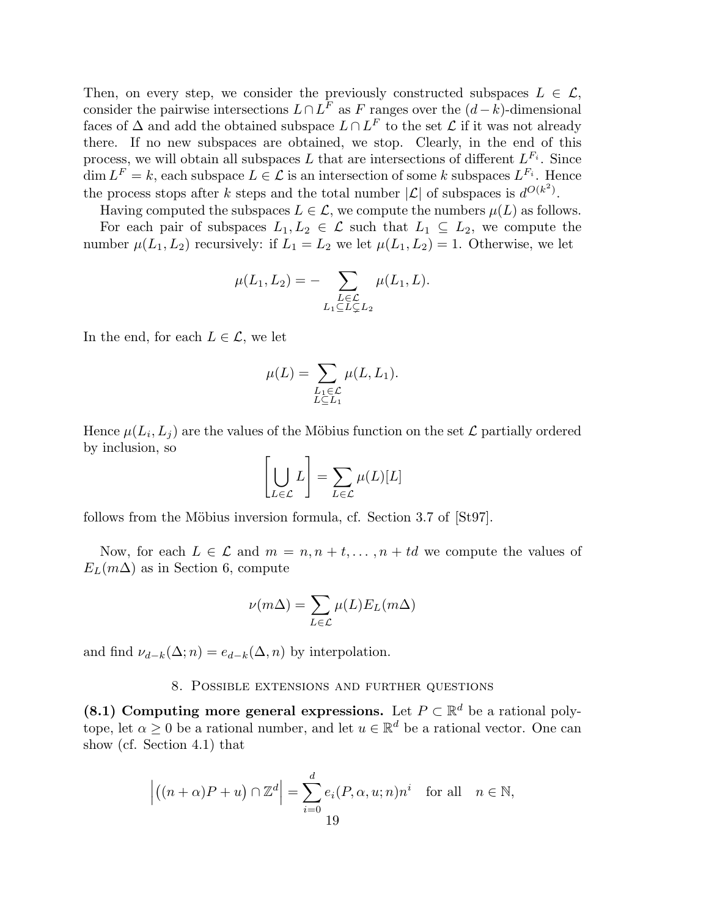Then, on every step, we consider the previously constructed subspaces  $L \in \mathcal{L}$ , consider the pairwise intersections  $L \cap L^F$  as F ranges over the  $(d-k)$ -dimensional faces of  $\Delta$  and add the obtained subspace  $L \cap L^F$  to the set  $\mathcal L$  if it was not already there. If no new subspaces are obtained, we stop. Clearly, in the end of this process, we will obtain all subspaces L that are intersections of different  $L^{F_i}$ . Since  $\dim L^F = k$ , each subspace  $L \in \mathcal{L}$  is an intersection of some k subspaces  $L^{F_i}$ . Hence the process stops after k steps and the total number  $|\mathcal{L}|$  of subspaces is  $d^{O(k^2)}$ .

Having computed the subspaces  $L \in \mathcal{L}$ , we compute the numbers  $\mu(L)$  as follows.

For each pair of subspaces  $L_1, L_2 \in \mathcal{L}$  such that  $L_1 \subseteq L_2$ , we compute the number  $\mu(L_1, L_2)$  recursively: if  $L_1 = L_2$  we let  $\mu(L_1, L_2) = 1$ . Otherwise, we let

$$
\mu(L_1, L_2) = - \sum_{\substack{L \in \mathcal{L} \\ L_1 \subseteq L \subseteq L_2}} \mu(L_1, L).
$$

In the end, for each  $L \in \mathcal{L}$ , we let

$$
\mu(L) = \sum_{\substack{L_1 \in \mathcal{L} \\ L \subseteq L_1}} \mu(L, L_1).
$$

Hence  $\mu(L_i, L_j)$  are the values of the Möbius function on the set  $\mathcal L$  partially ordered by inclusion, so

$$
\left[\bigcup_{L\in\mathcal{L}}L\right] = \sum_{L\in\mathcal{L}}\mu(L)[L]
$$

follows from the Möbius inversion formula, cf. Section 3.7 of  $[St97]$ .

Now, for each  $L \in \mathcal{L}$  and  $m = n, n + t, \ldots, n + td$  we compute the values of  $E_L(m\Delta)$  as in Section 6, compute

$$
\nu(m\Delta) = \sum_{L \in \mathcal{L}} \mu(L) E_L(m\Delta)
$$

and find  $\nu_{d-k}(\Delta; n) = e_{d-k}(\Delta; n)$  by interpolation.

### 8. Possible extensions and further questions

(8.1) Computing more general expressions. Let  $P \subset \mathbb{R}^d$  be a rational polytope, let  $\alpha \geq 0$  be a rational number, and let  $u \in \mathbb{R}^d$  be a rational vector. One can show (cf. Section 4.1) that

$$
\left| \left( (n+\alpha)P + u \right) \cap \mathbb{Z}^d \right| = \sum_{i=0}^d e_i(P, \alpha, u; n) n^i \text{ for all } n \in \mathbb{N},
$$
  
19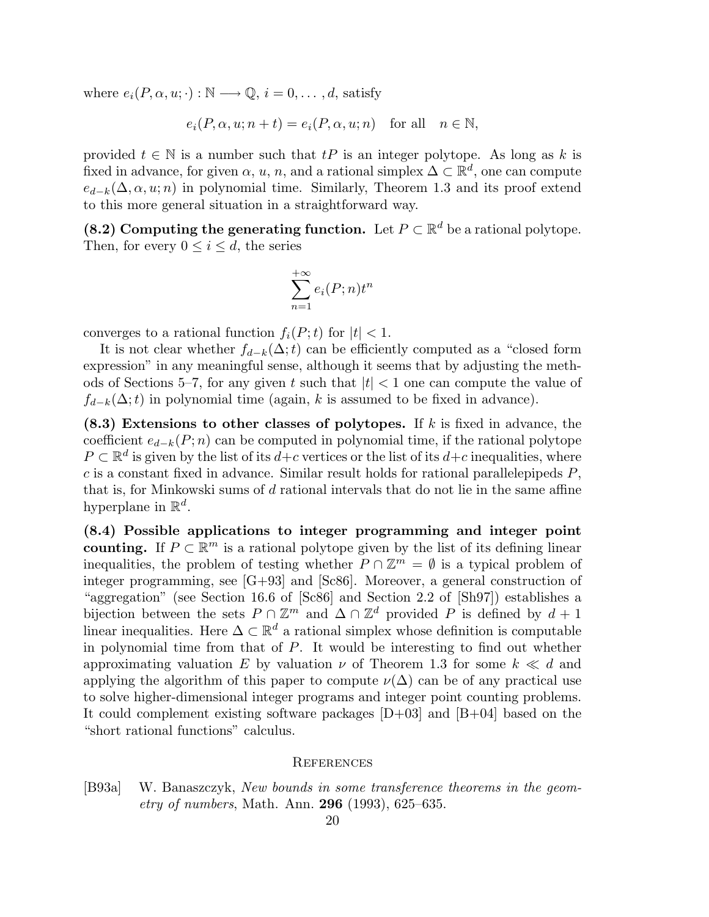where  $e_i(P, \alpha, u; \cdot): \mathbb{N} \longrightarrow \mathbb{Q}, i = 0, \ldots, d$ , satisfy

$$
e_i(P, \alpha, u; n+t) = e_i(P, \alpha, u; n) \text{ for all } n \in \mathbb{N},
$$

provided  $t \in \mathbb{N}$  is a number such that  $tP$  is an integer polytope. As long as k is fixed in advance, for given  $\alpha$ , u, n, and a rational simplex  $\Delta \subset \mathbb{R}^d$ , one can compute  $e_{d-k}(\Delta, \alpha, u; n)$  in polynomial time. Similarly, Theorem 1.3 and its proof extend to this more general situation in a straightforward way.

(8.2) Computing the generating function. Let  $P \subset \mathbb{R}^d$  be a rational polytope. Then, for every  $0 \leq i \leq d$ , the series

$$
\sum_{n=1}^{+\infty} e_i(P; n) t^n
$$

converges to a rational function  $f_i(P; t)$  for  $|t| < 1$ .

It is not clear whether  $f_{d-k}(\Delta;t)$  can be efficiently computed as a "closed form expression" in any meaningful sense, although it seems that by adjusting the methods of Sections 5–7, for any given t such that  $|t| < 1$  one can compute the value of  $f_{d-k}(\Delta;t)$  in polynomial time (again, k is assumed to be fixed in advance).

 $(8.3)$  Extensions to other classes of polytopes. If k is fixed in advance, the coefficient  $e_{d-k}(P; n)$  can be computed in polynomial time, if the rational polytope  $P \subset \mathbb{R}^d$  is given by the list of its  $d+c$  vertices or the list of its  $d+c$  inequalities, where  $c$  is a constant fixed in advance. Similar result holds for rational parallelepipeds  $P$ , that is, for Minkowski sums of d rational intervals that do not lie in the same affine hyperplane in  $\mathbb{R}^d$ .

(8.4) Possible applications to integer programming and integer point counting. If  $P \subset \mathbb{R}^m$  is a rational polytope given by the list of its defining linear inequalities, the problem of testing whether  $P \cap \mathbb{Z}^m = \emptyset$  is a typical problem of integer programming, see [G+93] and [Sc86]. Moreover, a general construction of "aggregation" (see Section 16.6 of [Sc86] and Section 2.2 of [Sh97]) establishes a bijection between the sets  $P \cap \mathbb{Z}^m$  and  $\Delta \cap \mathbb{Z}^d$  provided P is defined by  $d+1$ linear inequalities. Here  $\Delta \subset \mathbb{R}^d$  a rational simplex whose definition is computable in polynomial time from that of P. It would be interesting to find out whether approximating valuation E by valuation  $\nu$  of Theorem 1.3 for some  $k \ll d$  and applying the algorithm of this paper to compute  $\nu(\Delta)$  can be of any practical use to solve higher-dimensional integer programs and integer point counting problems. It could complement existing software packages [D+03] and [B+04] based on the "short rational functions" calculus.

#### **REFERENCES**

<sup>[</sup>B93a] W. Banaszczyk, New bounds in some transference theorems in the geom*etry of numbers*, Math. Ann. **296** (1993), 625–635.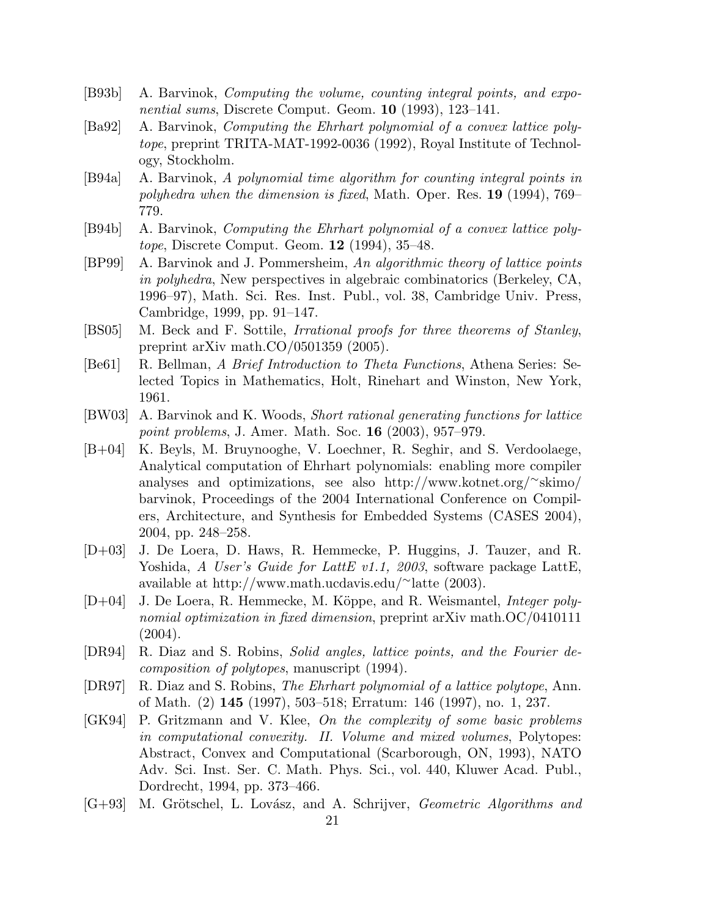- [B93b] A. Barvinok, Computing the volume, counting integral points, and exponential sums, Discrete Comput. Geom. 10 (1993), 123–141.
- [Ba92] A. Barvinok, Computing the Ehrhart polynomial of a convex lattice polytope, preprint TRITA-MAT-1992-0036 (1992), Royal Institute of Technology, Stockholm.
- [B94a] A. Barvinok, A polynomial time algorithm for counting integral points in polyhedra when the dimension is fixed, Math. Oper. Res. 19 (1994), 769– 779.
- [B94b] A. Barvinok, Computing the Ehrhart polynomial of a convex lattice polytope, Discrete Comput. Geom. 12 (1994), 35–48.
- [BP99] A. Barvinok and J. Pommersheim, An algorithmic theory of lattice points in polyhedra, New perspectives in algebraic combinatorics (Berkeley, CA, 1996–97), Math. Sci. Res. Inst. Publ., vol. 38, Cambridge Univ. Press, Cambridge, 1999, pp. 91–147.
- [BS05] M. Beck and F. Sottile, Irrational proofs for three theorems of Stanley, preprint arXiv math.CO/0501359 (2005).
- [Be61] R. Bellman, A Brief Introduction to Theta Functions, Athena Series: Selected Topics in Mathematics, Holt, Rinehart and Winston, New York, 1961.
- [BW03] A. Barvinok and K. Woods, Short rational generating functions for lattice point problems, J. Amer. Math. Soc. 16 (2003), 957–979.
- [B+04] K. Beyls, M. Bruynooghe, V. Loechner, R. Seghir, and S. Verdoolaege, Analytical computation of Ehrhart polynomials: enabling more compiler analyses and optimizations, see also http://www.kotnet.org/<sup>∼</sup>skimo/ barvinok, Proceedings of the 2004 International Conference on Compilers, Architecture, and Synthesis for Embedded Systems (CASES 2004), 2004, pp. 248–258.
- [D+03] J. De Loera, D. Haws, R. Hemmecke, P. Huggins, J. Tauzer, and R. Yoshida, A User's Guide for LattE v1.1, 2003, software package LattE, available at http://www.math.ucdavis.edu/<sup>∼</sup>latte (2003).
- [D+04] J. De Loera, R. Hemmecke, M. Köppe, and R. Weismantel, *Integer poly*nomial optimization in fixed dimension, preprint arXiv math.OC/0410111 (2004).
- [DR94] R. Diaz and S. Robins, Solid angles, lattice points, and the Fourier decomposition of polytopes, manuscript (1994).
- [DR97] R. Diaz and S. Robins, The Ehrhart polynomial of a lattice polytope, Ann. of Math. (2) 145 (1997), 503–518; Erratum: 146 (1997), no. 1, 237.
- [GK94] P. Gritzmann and V. Klee, On the complexity of some basic problems in computational convexity. II. Volume and mixed volumes, Polytopes: Abstract, Convex and Computational (Scarborough, ON, 1993), NATO Adv. Sci. Inst. Ser. C. Math. Phys. Sci., vol. 440, Kluwer Acad. Publ., Dordrecht, 1994, pp. 373–466.
- [G+93] M. Grötschel, L. Lovász, and A. Schrijver, *Geometric Algorithms and*